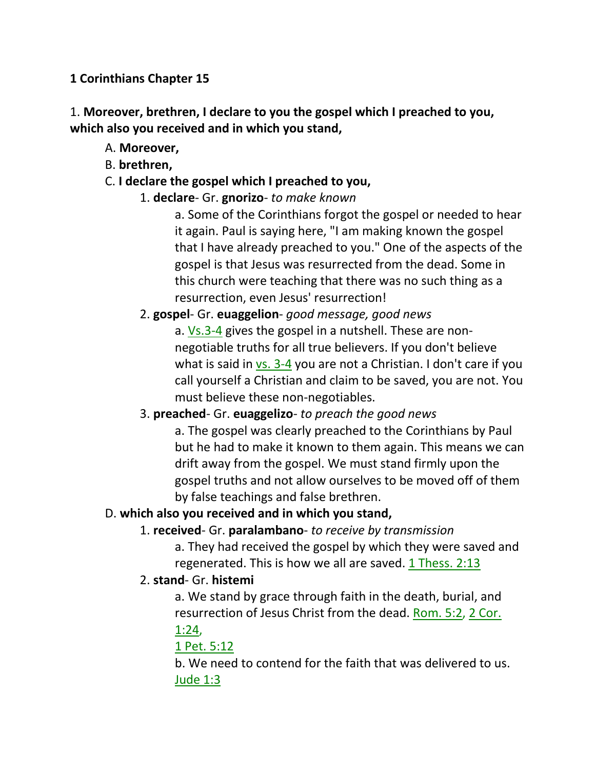**1 Corinthians Chapter 15**

## 1. **Moreover, brethren, I declare to you the gospel which I preached to you, which also you received and in which you stand,**

- A. **Moreover,**
- B. **brethren,**
- C. **I declare the gospel which I preached to you,**
	- 1. **declare** Gr. **gnorizo** *to make known*

a. Some of the Corinthians forgot the gospel or needed to hear it again. Paul is saying here, "I am making known the gospel that I have already preached to you." One of the aspects of the gospel is that Jesus was resurrected from the dead. Some in this church were teaching that there was no such thing as a resurrection, even Jesus' resurrection!

# 2. **gospel**- Gr. **euaggelion**- *good message, good news*

a.  $Vs.3-4$  gives the gospel in a nutshell. These are nonnegotiable truths for all true believers. If you don't believe what is said in vs. 3-4 you are not a Christian. I don't care if you call yourself a Christian and claim to be saved, you are not. You must believe these non-negotiables.

# 3. **preached**- Gr. **euaggelizo**- *to preach the good news*

a. The gospel was clearly preached to the Corinthians by Paul but he had to make it known to them again. This means we can drift away from the gospel. We must stand firmly upon the gospel truths and not allow ourselves to be moved off of them by false teachings and false brethren.

# D. **which also you received and in which you stand,**

# 1. **received**- Gr. **paralambano**- *to receive by transmission*

a. They had received the gospel by which they were saved and regenerated. This is how we all are saved. 1 Thess. 2:13

# 2. **stand**- Gr. **histemi**

a. We stand by grace through faith in the death, burial, and resurrection of Jesus Christ from the dead. Rom. 5:2, 2 Cor.

## 1:24,

# 1 Pet. 5:12

b. We need to contend for the faith that was delivered to us. Jude 1:3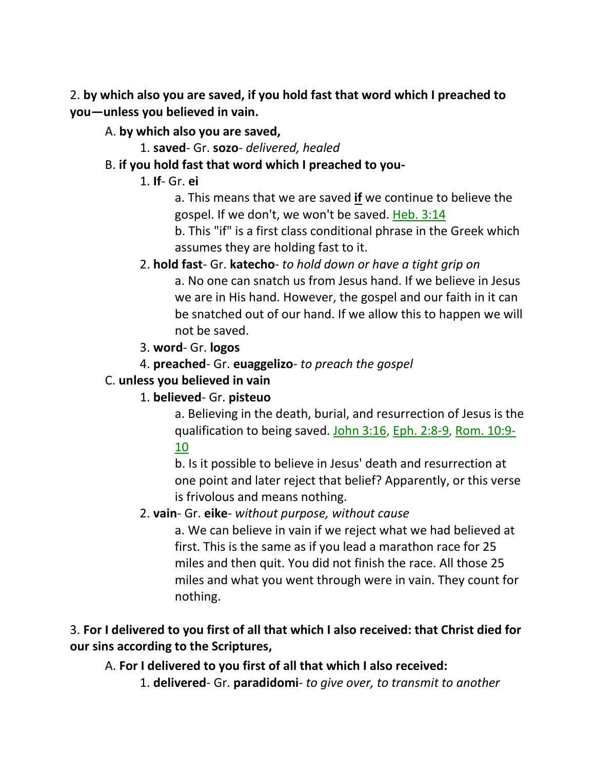2. **by which also you are saved, if you hold fast that word which I preached to you—unless you believed in vain.**

## A. **by which also you are saved,**

1. **saved**- Gr. **sozo**- *delivered, healed*

# B. **if you hold fast that word which I preached to you-**

1. **If**- Gr. **ei**

a. This means that we are saved **if** we continue to believe the gospel. If we don't, we won't be saved. Heb. 3:14

b. This "if" is a first class conditional phrase in the Greek which assumes they are holding fast to it.

- 2. **hold fast** Gr. **katecho** *to hold down or have a tight grip on* a. No one can snatch us from Jesus hand. If we believe in Jesus we are in His hand. However, the gospel and our faith in it can be snatched out of our hand. If we allow this to happen we will not be saved.
- 3. **word** Gr. **logos**
- 4. **preached** Gr. **euaggelizo** *to preach the gospel*

## C. **unless you believed in vain**

# 1. **believed**- Gr. **pisteuo**

a. Believing in the death, burial, and resurrection of Jesus is the qualification to being saved. John 3:16, Eph. 2:8-9, Rom. 10:9- 10

b. Is it possible to believe in Jesus' death and resurrection at one point and later reject that belief? Apparently, or this verse is frivolous and means nothing.

## 2. **vain**- Gr. **eike**- *without purpose, without cause*

a. We can believe in vain if we reject what we had believed at first. This is the same as if you lead a marathon race for 25 miles and then quit. You did not finish the race. All those 25 miles and what you went through were in vain. They count for nothing.

## 3. **For I delivered to you first of all that which I also received: that Christ died for our sins according to the Scriptures,**

A. **For I delivered to you first of all that which I also received:**

1. **delivered**- Gr. **paradidomi**- *to give over, to transmit to another*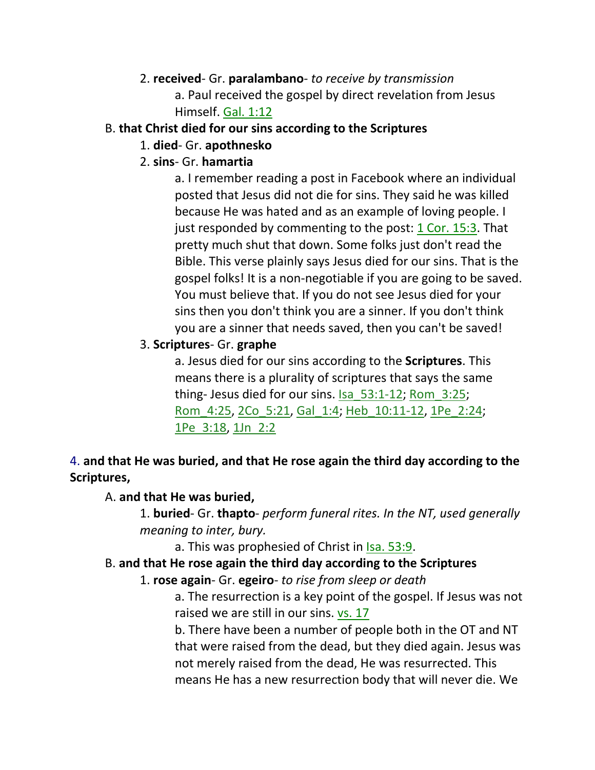2. **received**- Gr. **paralambano**- *to receive by transmission* a. Paul received the gospel by direct revelation from Jesus Himself. Gal. 1:12

## B. **that Christ died for our sins according to the Scriptures**

### 1. **died**- Gr. **apothnesko**

### 2. **sins**- Gr. **hamartia**

a. I remember reading a post in Facebook where an individual posted that Jesus did not die for sins. They said he was killed because He was hated and as an example of loving people. I just responded by commenting to the post: 1 Cor. 15:3. That pretty much shut that down. Some folks just don't read the Bible. This verse plainly says Jesus died for our sins. That is the gospel folks! It is a non-negotiable if you are going to be saved. You must believe that. If you do not see Jesus died for your sins then you don't think you are a sinner. If you don't think you are a sinner that needs saved, then you can't be saved!

### 3. **Scriptures**- Gr. **graphe**

a. Jesus died for our sins according to the **Scriptures**. This means there is a plurality of scriptures that says the same thing-Jesus died for our sins.  $Isa$   $53:1-12$ ; Rom  $3:25$ ; Rom 4:25, 2Co 5:21, Gal 1:4; Heb 10:11-12, 1Pe 2:24; 1Pe\_3:18, 1Jn\_2:2

## 4. **and that He was buried, and that He rose again the third day according to the Scriptures,**

### A. **and that He was buried,**

1. **buried**- Gr. **thapto**- *perform funeral rites. In the NT, used generally meaning to inter, bury.*

a. This was prophesied of Christ in Isa. 53:9.

### B. **and that He rose again the third day according to the Scriptures**

## 1. **rose again**- Gr. **egeiro**- *to rise from sleep or death*

a. The resurrection is a key point of the gospel. If Jesus was not raised we are still in our sins. vs. 17

b. There have been a number of people both in the OT and NT that were raised from the dead, but they died again. Jesus was not merely raised from the dead, He was resurrected. This means He has a new resurrection body that will never die. We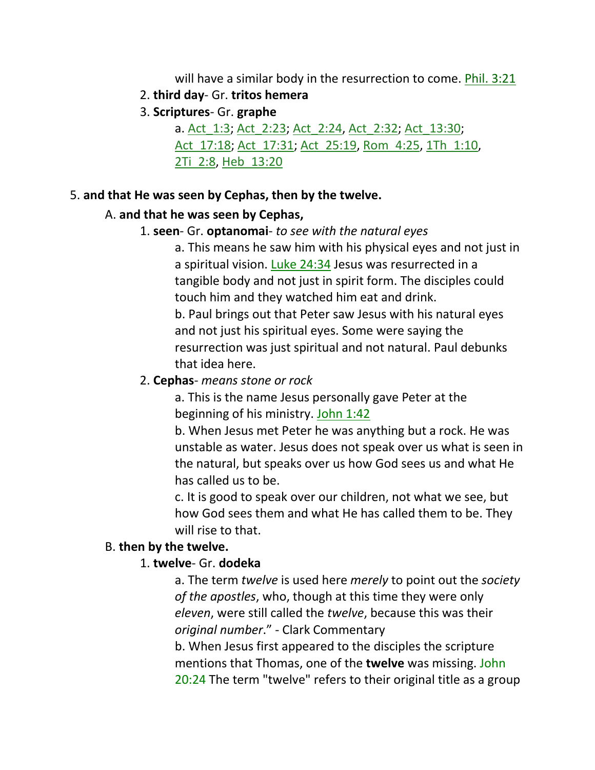will have a similar body in the resurrection to come. Phil. 3:21

### 2. **third day**- Gr. **tritos hemera**

### 3. **Scriptures**- Gr. **graphe**

a. Act\_1:3; Act\_2:23; Act\_2:24, Act\_2:32; Act\_13:30; Act 17:18; Act 17:31; Act 25:19, Rom 4:25, 1Th 1:10, 2Ti\_2:8, Heb\_13:20

### 5. **and that He was seen by Cephas, then by the twelve.**

## A. **and that he was seen by Cephas,**

### 1. **seen**- Gr. **optanomai**- *to see with the natural eyes*

a. This means he saw him with his physical eyes and not just in a spiritual vision. Luke 24:34 Jesus was resurrected in a tangible body and not just in spirit form. The disciples could touch him and they watched him eat and drink.

b. Paul brings out that Peter saw Jesus with his natural eyes and not just his spiritual eyes. Some were saying the resurrection was just spiritual and not natural. Paul debunks that idea here.

## 2. **Cephas**- *means stone or rock*

a. This is the name Jesus personally gave Peter at the beginning of his ministry. John 1:42

b. When Jesus met Peter he was anything but a rock. He was unstable as water. Jesus does not speak over us what is seen in the natural, but speaks over us how God sees us and what He has called us to be.

c. It is good to speak over our children, not what we see, but how God sees them and what He has called them to be. They will rise to that.

## B. **then by the twelve.**

## 1. **twelve**- Gr. **dodeka**

a. The term *twelve* is used here *merely* to point out the *society of the apostles*, who, though at this time they were only *eleven*, were still called the *twelve*, because this was their *original number*." - Clark Commentary

b. When Jesus first appeared to the disciples the scripture mentions that Thomas, one of the **twelve** was missing. John 20:24 The term "twelve" refers to their original title as a group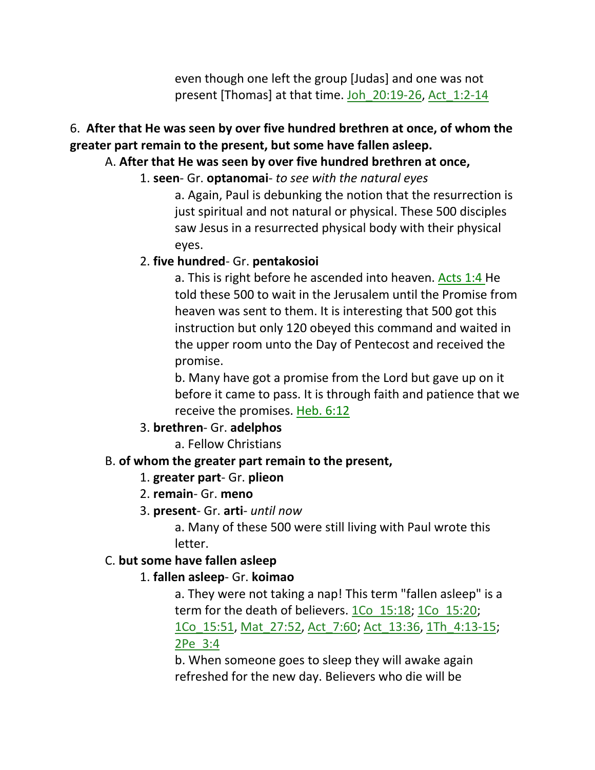even though one left the group [Judas] and one was not present [Thomas] at that time. Joh\_20:19-26, Act\_1:2-14

## 6. **After that He was seen by over five hundred brethren at once, of whom the greater part remain to the present, but some have fallen asleep.**

## A. **After that He was seen by over five hundred brethren at once,**

## 1. **seen**- Gr. **optanomai**- *to see with the natural eyes*

a. Again, Paul is debunking the notion that the resurrection is just spiritual and not natural or physical. These 500 disciples saw Jesus in a resurrected physical body with their physical eyes.

## 2. **five hundred**- Gr. **pentakosioi**

a. This is right before he ascended into heaven. Acts 1:4 He told these 500 to wait in the Jerusalem until the Promise from heaven was sent to them. It is interesting that 500 got this instruction but only 120 obeyed this command and waited in the upper room unto the Day of Pentecost and received the promise.

b. Many have got a promise from the Lord but gave up on it before it came to pass. It is through faith and patience that we receive the promises. Heb. 6:12

## 3. **brethren**- Gr. **adelphos**

a. Fellow Christians

## B. **of whom the greater part remain to the present,**

### 1. **greater part**- Gr. **plieon**

### 2. **remain**- Gr. **meno**

### 3. **present**- Gr. **arti**- *until now*

a. Many of these 500 were still living with Paul wrote this letter.

### C. **but some have fallen asleep**

## 1. **fallen asleep**- Gr. **koimao**

a. They were not taking a nap! This term "fallen asleep" is a term for the death of believers. 1Co\_15:18; 1Co\_15:20; 1Co\_15:51, Mat\_27:52, Act\_7:60; Act\_13:36, 1Th\_4:13-15; 2Pe\_3:4

b. When someone goes to sleep they will awake again refreshed for the new day. Believers who die will be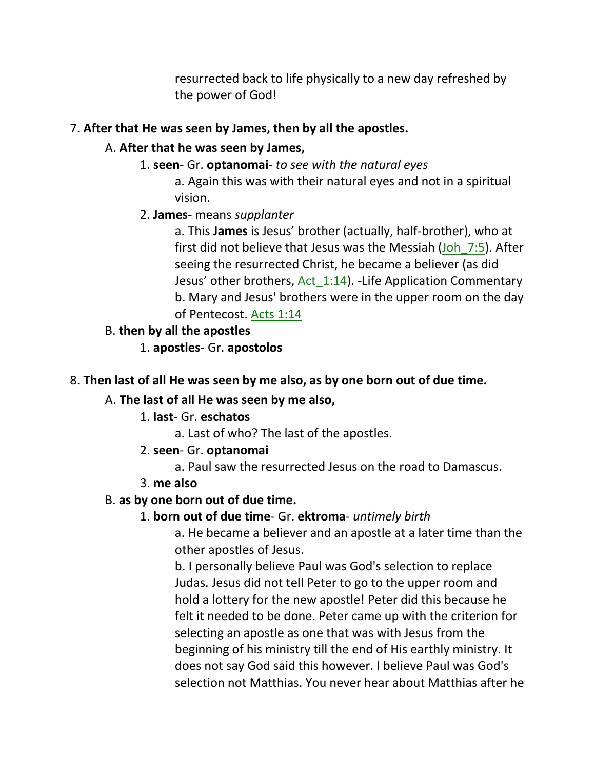resurrected back to life physically to a new day refreshed by the power of God!

### 7. **After that He was seen by James, then by all the apostles.**

### A. **After that he was seen by James,**

1. **seen**- Gr. **optanomai**- *to see with the natural eyes*

a. Again this was with their natural eyes and not in a spiritual vision.

2. **James**- means *supplanter*

a. This **James** is Jesus' brother (actually, half-brother), who at first did not believe that Jesus was the Messiah (Joh  $7:5$ ). After seeing the resurrected Christ, he became a believer (as did Jesus' other brothers, Act\_1:14). -Life Application Commentary b. Mary and Jesus' brothers were in the upper room on the day of Pentecost. Acts 1:14

### B. **then by all the apostles**

1. **apostles**- Gr. **apostolos**

### 8. **Then last of all He was seen by me also, as by one born out of due time.**

### A. **The last of all He was seen by me also,**

### 1. **last**- Gr. **eschatos**

a. Last of who? The last of the apostles.

## 2. **seen**- Gr. **optanomai**

a. Paul saw the resurrected Jesus on the road to Damascus.

### 3. **me also**

## B. **as by one born out of due time.**

### 1. **born out of due time**- Gr. **ektroma**- *untimely birth*

a. He became a believer and an apostle at a later time than the other apostles of Jesus.

b. I personally believe Paul was God's selection to replace Judas. Jesus did not tell Peter to go to the upper room and hold a lottery for the new apostle! Peter did this because he felt it needed to be done. Peter came up with the criterion for selecting an apostle as one that was with Jesus from the beginning of his ministry till the end of His earthly ministry. It does not say God said this however. I believe Paul was God's selection not Matthias. You never hear about Matthias after he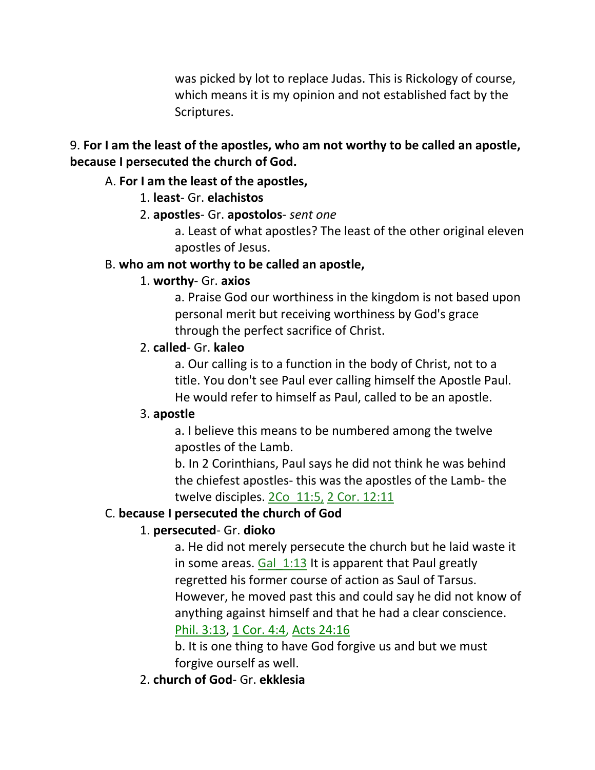was picked by lot to replace Judas. This is Rickology of course, which means it is my opinion and not established fact by the Scriptures.

## 9. **For I am the least of the apostles, who am not worthy to be called an apostle, because I persecuted the church of God.**

## A. **For I am the least of the apostles,**

## 1. **least**- Gr. **elachistos**

## 2. **apostles**- Gr. **apostolos**- *sent one*

a. Least of what apostles? The least of the other original eleven apostles of Jesus.

## B. **who am not worthy to be called an apostle,**

## 1. **worthy**- Gr. **axios**

a. Praise God our worthiness in the kingdom is not based upon personal merit but receiving worthiness by God's grace through the perfect sacrifice of Christ.

## 2. **called**- Gr. **kaleo**

a. Our calling is to a function in the body of Christ, not to a title. You don't see Paul ever calling himself the Apostle Paul. He would refer to himself as Paul, called to be an apostle.

## 3. **apostle**

a. I believe this means to be numbered among the twelve apostles of the Lamb.

b. In 2 Corinthians, Paul says he did not think he was behind the chiefest apostles- this was the apostles of the Lamb- the twelve disciples. 2Co\_11:5, 2 Cor. 12:11

# C. **because I persecuted the church of God**

# 1. **persecuted**- Gr. **dioko**

a. He did not merely persecute the church but he laid waste it in some areas. Gal  $1:13$  It is apparent that Paul greatly regretted his former course of action as Saul of Tarsus. However, he moved past this and could say he did not know of anything against himself and that he had a clear conscience.

Phil. 3:13, 1 Cor. 4:4, Acts 24:16

b. It is one thing to have God forgive us and but we must forgive ourself as well.

# 2. **church of God**- Gr. **ekklesia**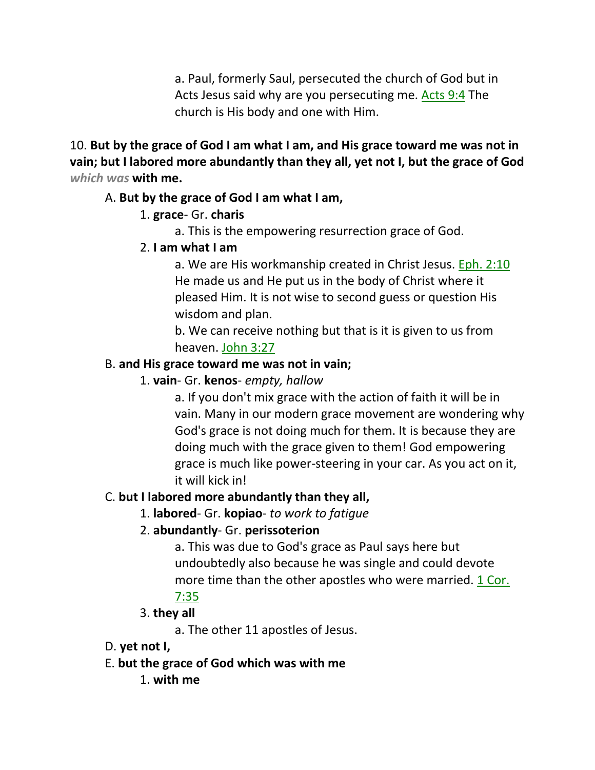a. Paul, formerly Saul, persecuted the church of God but in Acts Jesus said why are you persecuting me. Acts 9:4 The church is His body and one with Him.

10. **But by the grace of God I am what I am, and His grace toward me was not in vain; but I labored more abundantly than they all, yet not I, but the grace of God**  *which was* **with me.** 

## A. **But by the grace of God I am what I am,**

## 1. **grace**- Gr. **charis**

a. This is the empowering resurrection grace of God.

## 2. **I am what I am**

a. We are His workmanship created in Christ Jesus. Eph. 2:10 He made us and He put us in the body of Christ where it pleased Him. It is not wise to second guess or question His wisdom and plan.

b. We can receive nothing but that is it is given to us from heaven. John 3:27

## B. **and His grace toward me was not in vain;**

## 1. **vain**- Gr. **kenos**- *empty, hallow*

a. If you don't mix grace with the action of faith it will be in vain. Many in our modern grace movement are wondering why God's grace is not doing much for them. It is because they are doing much with the grace given to them! God empowering grace is much like power-steering in your car. As you act on it, it will kick in!

# C. **but I labored more abundantly than they all,**

1. **labored**- Gr. **kopiao**- *to work to fatigue* 

# 2. **abundantly**- Gr. **perissoterion**

a. This was due to God's grace as Paul says here but undoubtedly also because he was single and could devote more time than the other apostles who were married. 1 Cor.

# 7:35

# 3. **they all**

a. The other 11 apostles of Jesus.

# D. **yet not I,**

# E. **but the grace of God which was with me**

1. **with me**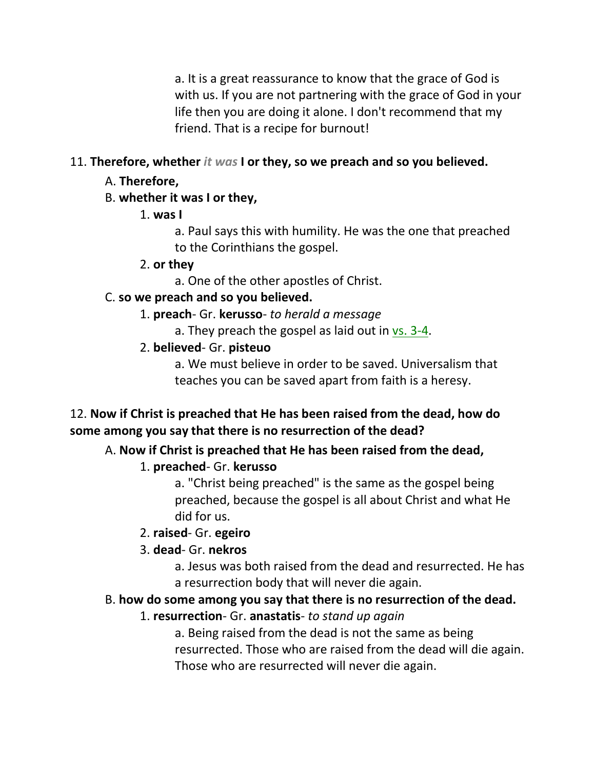a. It is a great reassurance to know that the grace of God is with us. If you are not partnering with the grace of God in your life then you are doing it alone. I don't recommend that my friend. That is a recipe for burnout!

## 11. **Therefore, whether** *it was* **I or they, so we preach and so you believed.**

A. **Therefore,**

### B. **whether it was I or they,**

1. **was I**

a. Paul says this with humility. He was the one that preached to the Corinthians the gospel.

- 2. **or they**
	- a. One of the other apostles of Christ.

### C. **so we preach and so you believed.**

- 1. **preach** Gr. **kerusso** *to herald a message*
	- a. They preach the gospel as laid out in vs. 3-4.

### 2. **believed**- Gr. **pisteuo**

a. We must believe in order to be saved. Universalism that teaches you can be saved apart from faith is a heresy.

## 12. **Now if Christ is preached that He has been raised from the dead, how do some among you say that there is no resurrection of the dead?**

## A. **Now if Christ is preached that He has been raised from the dead,**

## 1. **preached**- Gr. **kerusso**

a. "Christ being preached" is the same as the gospel being preached, because the gospel is all about Christ and what He did for us.

### 2. **raised**- Gr. **egeiro**

## 3. **dead**- Gr. **nekros**

a. Jesus was both raised from the dead and resurrected. He has a resurrection body that will never die again.

## B. **how do some among you say that there is no resurrection of the dead.**

## 1. **resurrection**- Gr. **anastatis**- *to stand up again*

a. Being raised from the dead is not the same as being resurrected. Those who are raised from the dead will die again. Those who are resurrected will never die again.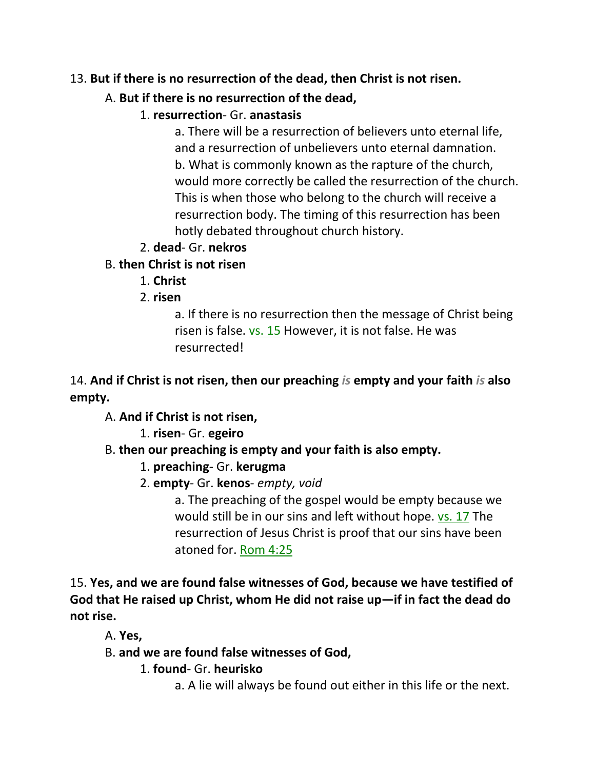### 13. **But if there is no resurrection of the dead, then Christ is not risen.**

### A. **But if there is no resurrection of the dead,**

## 1. **resurrection**- Gr. **anastasis**

a. There will be a resurrection of believers unto eternal life, and a resurrection of unbelievers unto eternal damnation. b. What is commonly known as the rapture of the church, would more correctly be called the resurrection of the church. This is when those who belong to the church will receive a resurrection body. The timing of this resurrection has been hotly debated throughout church history.

### 2. **dead**- Gr. **nekros**

## B. **then Christ is not risen**

- 1. **Christ**
- 2. **risen**

a. If there is no resurrection then the message of Christ being risen is false.  $vs.$  15 However, it is not false. He was resurrected!

## 14. **And if Christ is not risen, then our preaching** *is* **empty and your faith** *is* **also empty.**

## A. **And if Christ is not risen,**

1. **risen**- Gr. **egeiro**

## B. **then our preaching is empty and your faith is also empty.**

- 1. **preaching** Gr. **kerugma**
- 2. **empty** Gr. **kenos** *empty, void*

a. The preaching of the gospel would be empty because we would still be in our sins and left without hope. vs. 17 The resurrection of Jesus Christ is proof that our sins have been atoned for. Rom 4:25

15. **Yes, and we are found false witnesses of God, because we have testified of God that He raised up Christ, whom He did not raise up—if in fact the dead do not rise.** 

A. **Yes,**

B. **and we are found false witnesses of God,**

1. **found**- Gr. **heurisko**

a. A lie will always be found out either in this life or the next.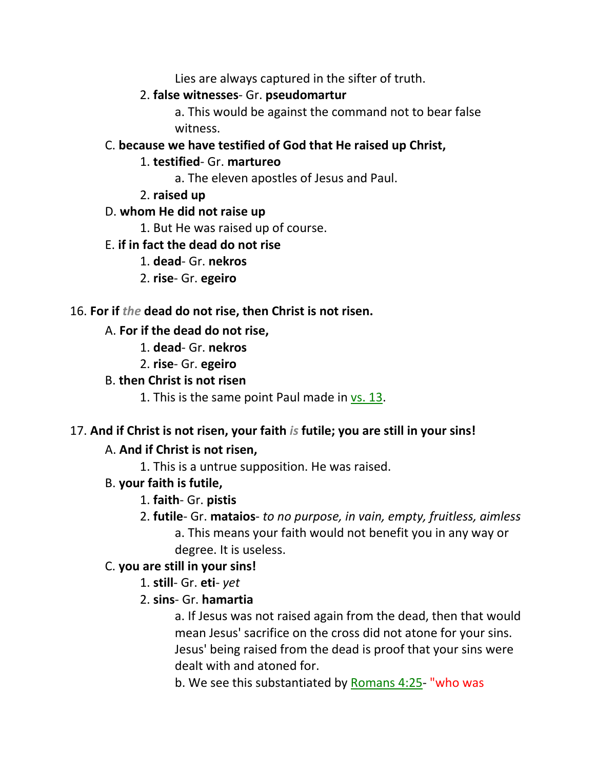Lies are always captured in the sifter of truth.

### 2. **false witnesses**- Gr. **pseudomartur**

a. This would be against the command not to bear false witness.

### C. **because we have testified of God that He raised up Christ,**

### 1. **testified**- Gr. **martureo**

a. The eleven apostles of Jesus and Paul.

### 2. **raised up**

### D. **whom He did not raise up**

1. But He was raised up of course.

## E. **if in fact the dead do not rise**

- 1. **dead** Gr. **nekros**
- 2. **rise** Gr. **egeiro**

## 16. **For if** *the* **dead do not rise, then Christ is not risen.**

## A. **For if the dead do not rise,**

- 1. **dead** Gr. **nekros**
- 2. **rise** Gr. **egeiro**

## B. **then Christ is not risen**

1. This is the same point Paul made in vs. 13.

## 17. **And if Christ is not risen, your faith** *is* **futile; you are still in your sins!**

## A. **And if Christ is not risen,**

1. This is a untrue supposition. He was raised.

## B. **your faith is futile,**

## 1. **faith**- Gr. **pistis**

2. **futile**- Gr. **mataios**- *to no purpose, in vain, empty, fruitless, aimless* a. This means your faith would not benefit you in any way or degree. It is useless.

## C. **you are still in your sins!**

- 1. **still** Gr. **eti** *yet*
- 2. **sins** Gr. **hamartia**

a. If Jesus was not raised again from the dead, then that would mean Jesus' sacrifice on the cross did not atone for your sins. Jesus' being raised from the dead is proof that your sins were dealt with and atoned for.

b. We see this substantiated by Romans 4:25- "who was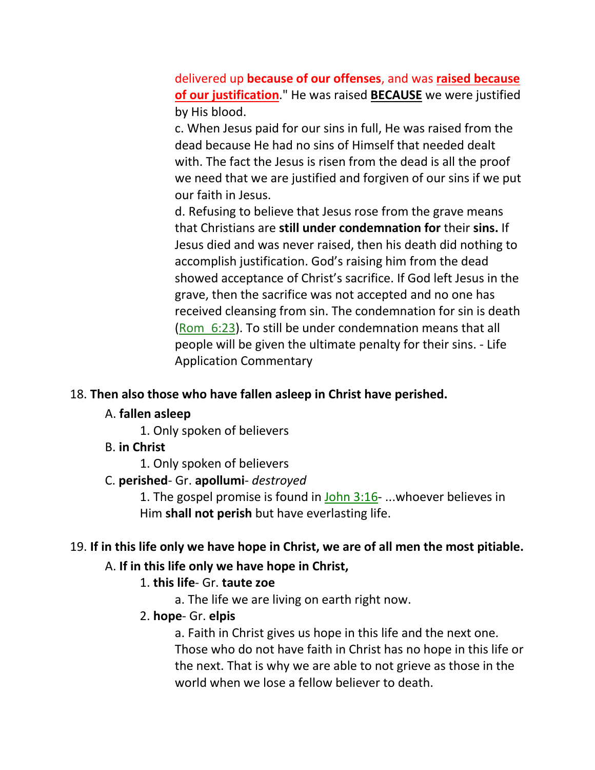delivered up **because of our offenses**, and was **raised because of our justification**." He was raised **BECAUSE** we were justified by His blood.

c. When Jesus paid for our sins in full, He was raised from the dead because He had no sins of Himself that needed dealt with. The fact the Jesus is risen from the dead is all the proof we need that we are justified and forgiven of our sins if we put our faith in Jesus.

d. Refusing to believe that Jesus rose from the grave means that Christians are **still under condemnation for** their **sins.** If Jesus died and was never raised, then his death did nothing to accomplish justification. God's raising him from the dead showed acceptance of Christ's sacrifice. If God left Jesus in the grave, then the sacrifice was not accepted and no one has received cleansing from sin. The condemnation for sin is death (Rom\_6:23). To still be under condemnation means that all people will be given the ultimate penalty for their sins. - Life Application Commentary

### 18. **Then also those who have fallen asleep in Christ have perished.**

### A. **fallen asleep**

1. Only spoken of believers

### B. **in Christ**

1. Only spoken of believers

### C. **perished**- Gr. **apollumi**- *destroyed*

1. The gospel promise is found in John 3:16- ...whoever believes in Him **shall not perish** but have everlasting life.

### 19. **If in this life only we have hope in Christ, we are of all men the most pitiable.**

### A. **If in this life only we have hope in Christ,**

## 1. **this life**- Gr. **taute zoe**

a. The life we are living on earth right now.

## 2. **hope**- Gr. **elpis**

a. Faith in Christ gives us hope in this life and the next one. Those who do not have faith in Christ has no hope in this life or the next. That is why we are able to not grieve as those in the world when we lose a fellow believer to death.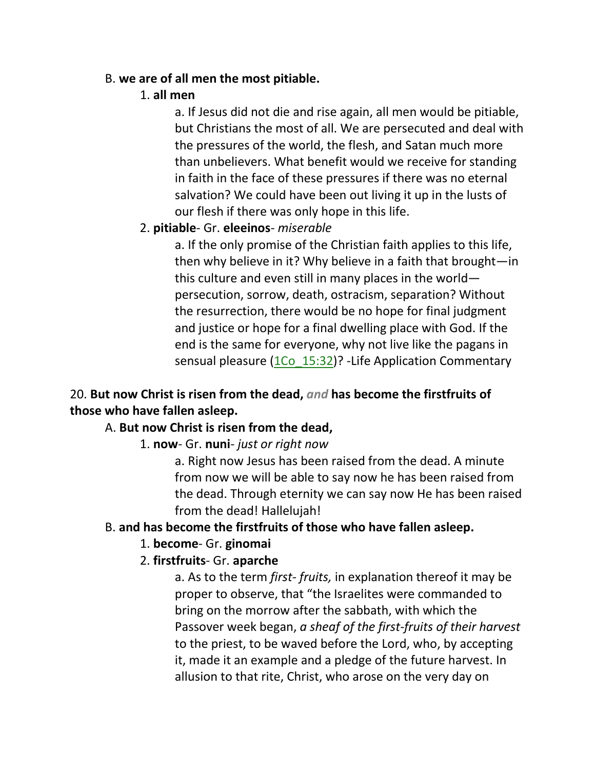### B. **we are of all men the most pitiable.**

#### 1. **all men**

a. If Jesus did not die and rise again, all men would be pitiable, but Christians the most of all. We are persecuted and deal with the pressures of the world, the flesh, and Satan much more than unbelievers. What benefit would we receive for standing in faith in the face of these pressures if there was no eternal salvation? We could have been out living it up in the lusts of our flesh if there was only hope in this life.

### 2. **pitiable**- Gr. **eleeinos**- *miserable*

a. If the only promise of the Christian faith applies to this life, then why believe in it? Why believe in a faith that brought—in this culture and even still in many places in the world persecution, sorrow, death, ostracism, separation? Without the resurrection, there would be no hope for final judgment and justice or hope for a final dwelling place with God. If the end is the same for everyone, why not live like the pagans in sensual pleasure (1Co 15:32)? -Life Application Commentary

## 20. **But now Christ is risen from the dead,** *and* **has become the firstfruits of those who have fallen asleep.**

### A. **But now Christ is risen from the dead,**

1. **now**- Gr. **nuni**- *just or right now*

a. Right now Jesus has been raised from the dead. A minute from now we will be able to say now he has been raised from the dead. Through eternity we can say now He has been raised from the dead! Hallelujah!

### B. **and has become the firstfruits of those who have fallen asleep.**

### 1. **become**- Gr. **ginomai**

### 2. **firstfruits**- Gr. **aparche**

a. As to the term *first- fruits,* in explanation thereof it may be proper to observe, that "the Israelites were commanded to bring on the morrow after the sabbath, with which the Passover week began, *a sheaf of the first-fruits of their harvest*  to the priest, to be waved before the Lord, who, by accepting it, made it an example and a pledge of the future harvest. In allusion to that rite, Christ, who arose on the very day on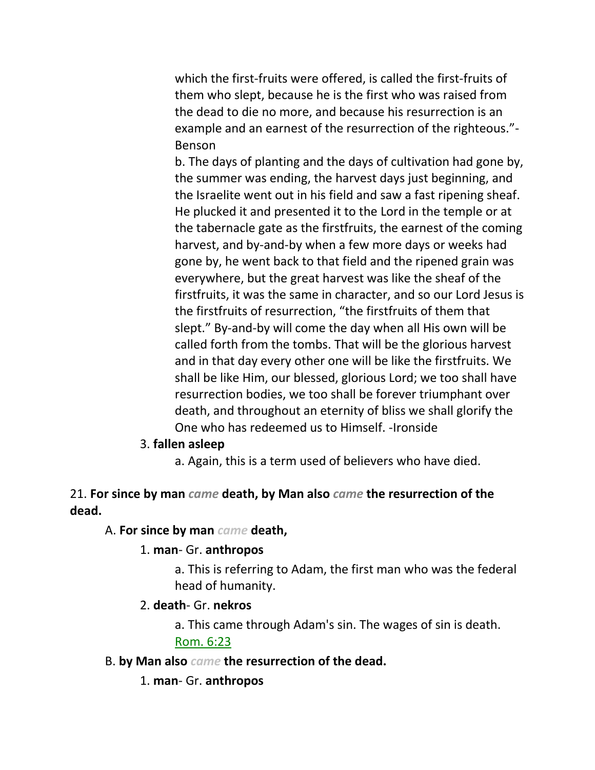which the first-fruits were offered, is called the first-fruits of them who slept, because he is the first who was raised from the dead to die no more, and because his resurrection is an example and an earnest of the resurrection of the righteous."- Benson

b. The days of planting and the days of cultivation had gone by, the summer was ending, the harvest days just beginning, and the Israelite went out in his field and saw a fast ripening sheaf. He plucked it and presented it to the Lord in the temple or at the tabernacle gate as the firstfruits, the earnest of the coming harvest, and by-and-by when a few more days or weeks had gone by, he went back to that field and the ripened grain was everywhere, but the great harvest was like the sheaf of the firstfruits, it was the same in character, and so our Lord Jesus is the firstfruits of resurrection, "the firstfruits of them that slept." By-and-by will come the day when all His own will be called forth from the tombs. That will be the glorious harvest and in that day every other one will be like the firstfruits. We shall be like Him, our blessed, glorious Lord; we too shall have resurrection bodies, we too shall be forever triumphant over death, and throughout an eternity of bliss we shall glorify the One who has redeemed us to Himself. -Ironside

### 3. **fallen asleep**

a. Again, this is a term used of believers who have died.

### 21. **For since by man** *came* **death, by Man also** *came* **the resurrection of the dead.**

#### A. **For since by man** *came* **death,**

#### 1. **man**- Gr. **anthropos**

a. This is referring to Adam, the first man who was the federal head of humanity.

#### 2. **death**- Gr. **nekros**

a. This came through Adam's sin. The wages of sin is death. Rom. 6:23

### B. **by Man also** *came* **the resurrection of the dead.**

### 1. **man**- Gr. **anthropos**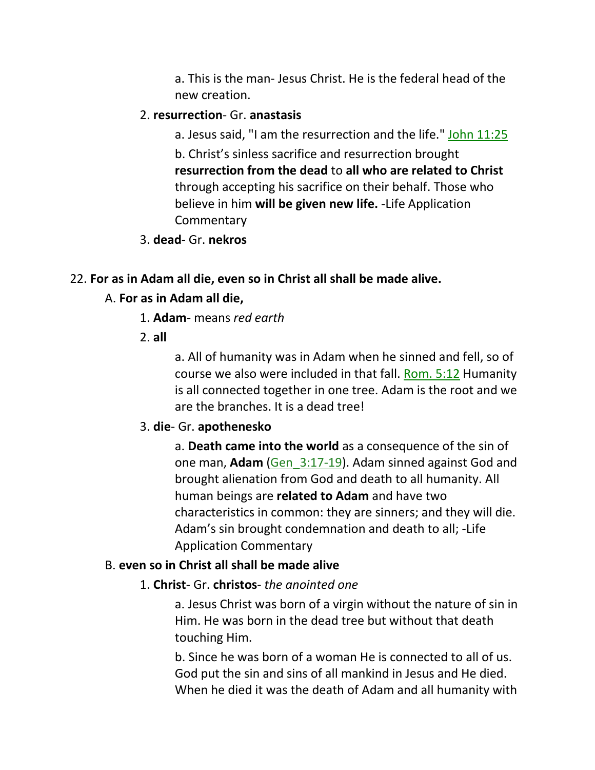a. This is the man- Jesus Christ. He is the federal head of the new creation.

#### 2. **resurrection**- Gr. **anastasis**

a. Jesus said, "I am the resurrection and the life." John 11:25

b. Christ's sinless sacrifice and resurrection brought **resurrection from the dead** to **all who are related to Christ** through accepting his sacrifice on their behalf. Those who believe in him **will be given new life.** -Life Application **Commentary** 

#### 3. **dead**- Gr. **nekros**

#### 22. **For as in Adam all die, even so in Christ all shall be made alive.**

#### A. **For as in Adam all die,**

- 1. **Adam** means *red earth*
- 2. **all**

a. All of humanity was in Adam when he sinned and fell, so of course we also were included in that fall. Rom. 5:12 Humanity is all connected together in one tree. Adam is the root and we are the branches. It is a dead tree!

#### 3. **die**- Gr. **apothenesko**

a. **Death came into the world** as a consequence of the sin of one man, **Adam** (Gen\_3:17-19). Adam sinned against God and brought alienation from God and death to all humanity. All human beings are **related to Adam** and have two characteristics in common: they are sinners; and they will die. Adam's sin brought condemnation and death to all; -Life Application Commentary

#### B. **even so in Christ all shall be made alive**

#### 1. **Christ**- Gr. **christos**- *the anointed one*

a. Jesus Christ was born of a virgin without the nature of sin in Him. He was born in the dead tree but without that death touching Him.

b. Since he was born of a woman He is connected to all of us. God put the sin and sins of all mankind in Jesus and He died. When he died it was the death of Adam and all humanity with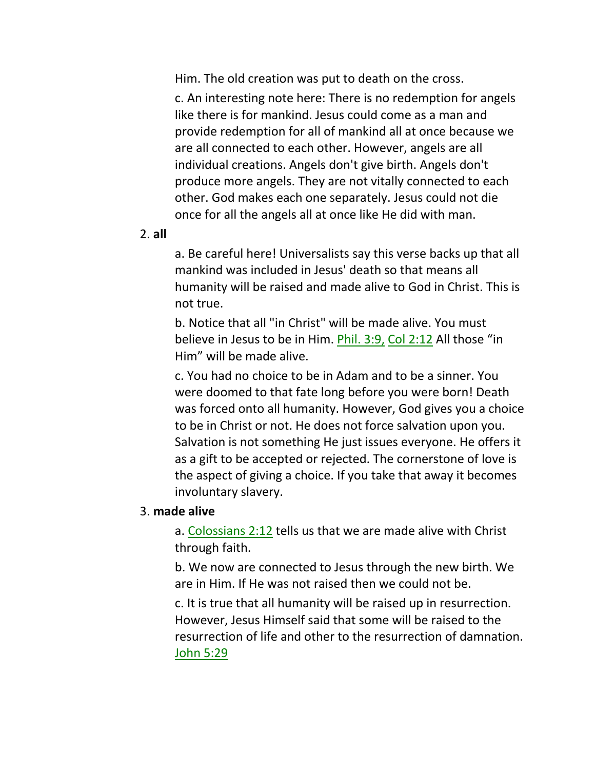Him. The old creation was put to death on the cross.

c. An interesting note here: There is no redemption for angels like there is for mankind. Jesus could come as a man and provide redemption for all of mankind all at once because we are all connected to each other. However, angels are all individual creations. Angels don't give birth. Angels don't produce more angels. They are not vitally connected to each other. God makes each one separately. Jesus could not die once for all the angels all at once like He did with man.

#### 2. **all**

a. Be careful here! Universalists say this verse backs up that all mankind was included in Jesus' death so that means all humanity will be raised and made alive to God in Christ. This is not true.

b. Notice that all "in Christ" will be made alive. You must believe in Jesus to be in Him. Phil. 3:9, Col 2:12 All those "in Him" will be made alive.

c. You had no choice to be in Adam and to be a sinner. You were doomed to that fate long before you were born! Death was forced onto all humanity. However, God gives you a choice to be in Christ or not. He does not force salvation upon you. Salvation is not something He just issues everyone. He offers it as a gift to be accepted or rejected. The cornerstone of love is the aspect of giving a choice. If you take that away it becomes involuntary slavery.

#### 3. **made alive**

a. Colossians 2:12 tells us that we are made alive with Christ through faith.

b. We now are connected to Jesus through the new birth. We are in Him. If He was not raised then we could not be.

c. It is true that all humanity will be raised up in resurrection. However, Jesus Himself said that some will be raised to the resurrection of life and other to the resurrection of damnation. John 5:29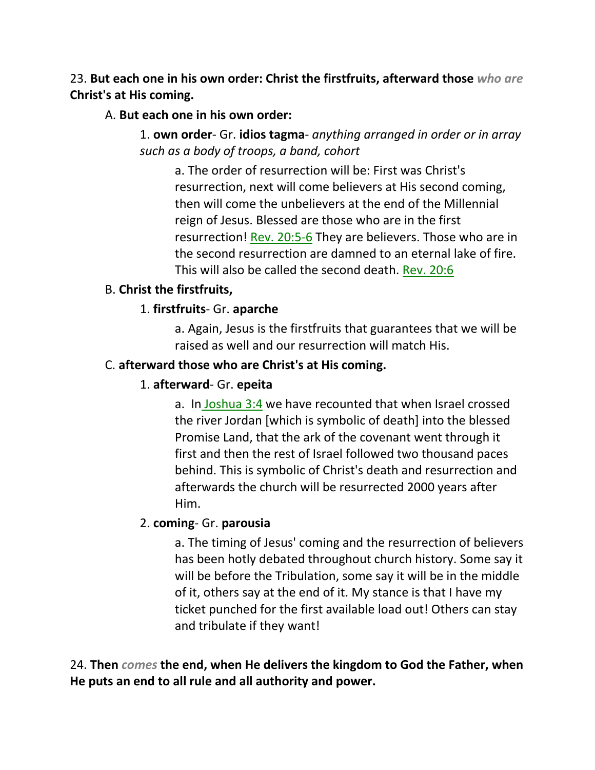23. **But each one in his own order: Christ the firstfruits, afterward those** *who are* **Christ's at His coming.** 

#### A. **But each one in his own order:**

1. **own order**- Gr. **idios tagma**- *anything arranged in order or in array such as a body of troops, a band, cohort*

a. The order of resurrection will be: First was Christ's resurrection, next will come believers at His second coming, then will come the unbelievers at the end of the Millennial reign of Jesus. Blessed are those who are in the first resurrection! Rev. 20:5-6 They are believers. Those who are in the second resurrection are damned to an eternal lake of fire. This will also be called the second death. Rev. 20:6

#### B. **Christ the firstfruits,**

#### 1. **firstfruits**- Gr. **aparche**

a. Again, Jesus is the firstfruits that guarantees that we will be raised as well and our resurrection will match His.

### C. **afterward those who are Christ's at His coming.**

### 1. **afterward**- Gr. **epeita**

a. In Joshua 3:4 we have recounted that when Israel crossed the river Jordan [which is symbolic of death] into the blessed Promise Land, that the ark of the covenant went through it first and then the rest of Israel followed two thousand paces behind. This is symbolic of Christ's death and resurrection and afterwards the church will be resurrected 2000 years after Him.

### 2. **coming**- Gr. **parousia**

a. The timing of Jesus' coming and the resurrection of believers has been hotly debated throughout church history. Some say it will be before the Tribulation, some say it will be in the middle of it, others say at the end of it. My stance is that I have my ticket punched for the first available load out! Others can stay and tribulate if they want!

24. **Then** *comes* **the end, when He delivers the kingdom to God the Father, when He puts an end to all rule and all authority and power.**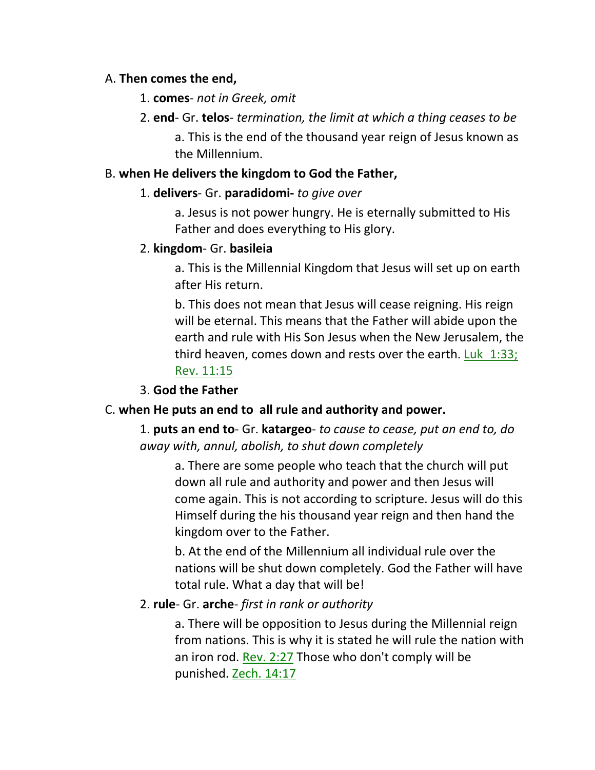#### A. **Then comes the end,**

- 1. **comes** *not in Greek, omit*
- 2. **end** Gr. **telos** *termination, the limit at which a thing ceases to be* a. This is the end of the thousand year reign of Jesus known as the Millennium.

### B. **when He delivers the kingdom to God the Father,**

### 1. **delivers**- Gr. **paradidomi-** *to give over*

a. Jesus is not power hungry. He is eternally submitted to His Father and does everything to His glory.

### 2. **kingdom**- Gr. **basileia**

a. This is the Millennial Kingdom that Jesus will set up on earth after His return.

b. This does not mean that Jesus will cease reigning. His reign will be eternal. This means that the Father will abide upon the earth and rule with His Son Jesus when the New Jerusalem, the third heaven, comes down and rests over the earth. Luk\_1:33; Rev. 11:15

## 3. **God the Father**

## C. **when He puts an end to all rule and authority and power.**

1. **puts an end to**- Gr. **katargeo**- *to cause to cease, put an end to, do away with, annul, abolish, to shut down completely*

a. There are some people who teach that the church will put down all rule and authority and power and then Jesus will come again. This is not according to scripture. Jesus will do this Himself during the his thousand year reign and then hand the kingdom over to the Father.

b. At the end of the Millennium all individual rule over the nations will be shut down completely. God the Father will have total rule. What a day that will be!

### 2. **rule**- Gr. **arche**- *first in rank or authority*

a. There will be opposition to Jesus during the Millennial reign from nations. This is why it is stated he will rule the nation with an iron rod. Rev. 2:27 Those who don't comply will be punished. Zech. 14:17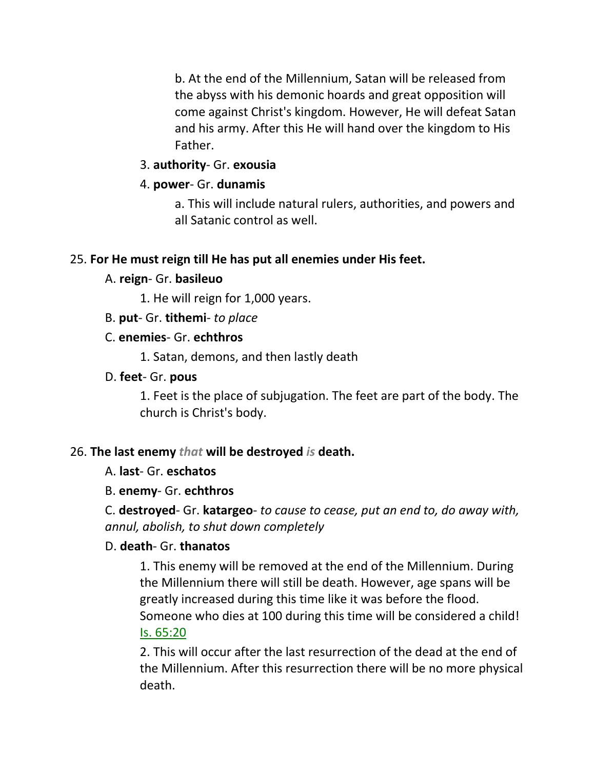b. At the end of the Millennium, Satan will be released from the abyss with his demonic hoards and great opposition will come against Christ's kingdom. However, He will defeat Satan and his army. After this He will hand over the kingdom to His Father.

## 3. **authority**- Gr. **exousia**

#### 4. **power**- Gr. **dunamis**

a. This will include natural rulers, authorities, and powers and all Satanic control as well.

### 25. **For He must reign till He has put all enemies under His feet.**

### A. **reign**- Gr. **basileuo**

- 1. He will reign for 1,000 years.
- B. **put** Gr. **tithemi** *to place*

#### C. **enemies**- Gr. **echthros**

- 1. Satan, demons, and then lastly death
- D. **feet** Gr. **pous**

1. Feet is the place of subjugation. The feet are part of the body. The church is Christ's body.

#### 26. **The last enemy** *that* **will be destroyed** *is* **death.**

- A. **last** Gr. **eschatos**
- B. **enemy** Gr. **echthros**

C. **destroyed**- Gr. **katargeo**- *to cause to cease, put an end to, do away with, annul, abolish, to shut down completely*

#### D. **death**- Gr. **thanatos**

1. This enemy will be removed at the end of the Millennium. During the Millennium there will still be death. However, age spans will be greatly increased during this time like it was before the flood. Someone who dies at 100 during this time will be considered a child! Is. 65:20

2. This will occur after the last resurrection of the dead at the end of the Millennium. After this resurrection there will be no more physical death.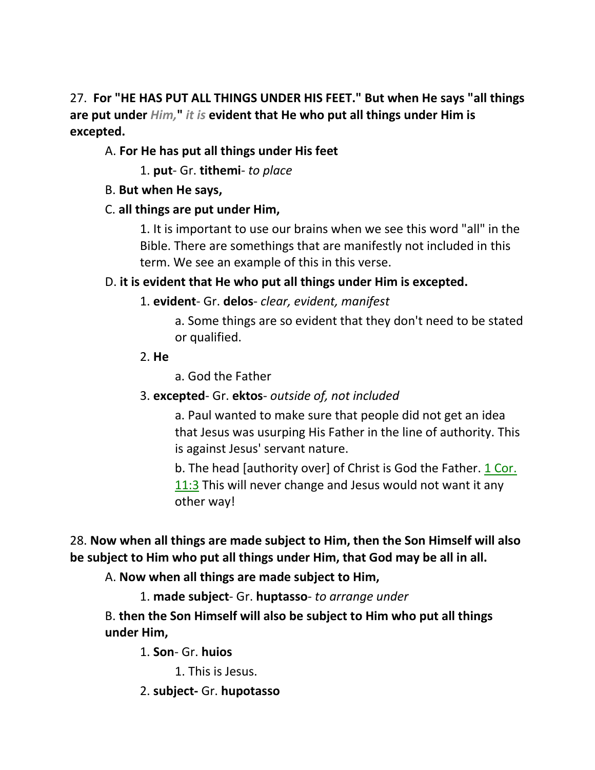27. **For "HE HAS PUT ALL THINGS UNDER HIS FEET." But when He says "all things are put under** *Him,***"** *it is* **evident that He who put all things under Him is excepted.** 

A. **For He has put all things under His feet**

1. **put**- Gr. **tithemi**- *to place*

- B. **But when He says,**
- C. **all things are put under Him,**

1. It is important to use our brains when we see this word "all" in the Bible. There are somethings that are manifestly not included in this term. We see an example of this in this verse.

## D. **it is evident that He who put all things under Him is excepted.**

## 1. **evident**- Gr. **delos**- *clear, evident, manifest*

a. Some things are so evident that they don't need to be stated or qualified.

- 2. **He**
- a. God the Father
- 3. **excepted** Gr. **ektos** *outside of, not included*

a. Paul wanted to make sure that people did not get an idea that Jesus was usurping His Father in the line of authority. This is against Jesus' servant nature.

b. The head [authority over] of Christ is God the Father. 1 Cor. 11:3 This will never change and Jesus would not want it any other way!

28. **Now when all things are made subject to Him, then the Son Himself will also be subject to Him who put all things under Him, that God may be all in all.** 

A. **Now when all things are made subject to Him,**

1. **made subject**- Gr. **huptasso**- *to arrange under*

B. **then the Son Himself will also be subject to Him who put all things under Him,**

1. **Son**- Gr. **huios**

1. This is Jesus.

2. **subject-** Gr. **hupotasso**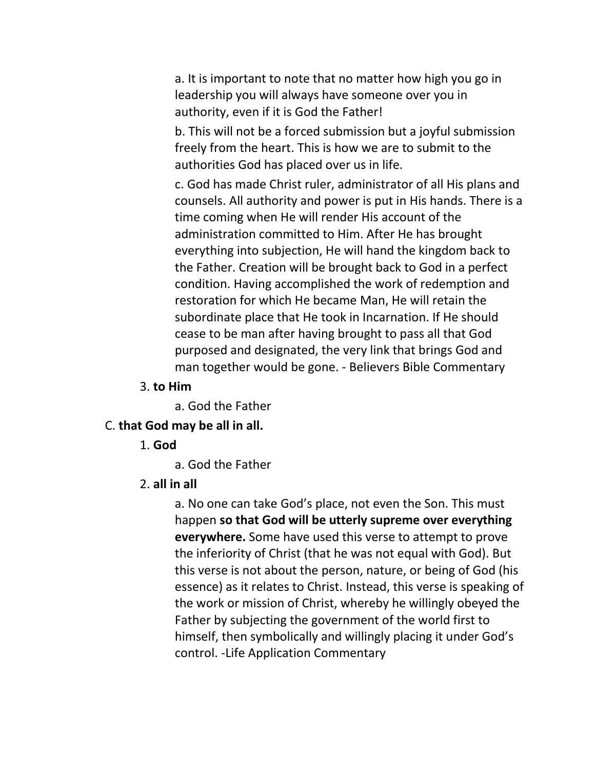a. It is important to note that no matter how high you go in leadership you will always have someone over you in authority, even if it is God the Father!

b. This will not be a forced submission but a joyful submission freely from the heart. This is how we are to submit to the authorities God has placed over us in life.

c. God has made Christ ruler, administrator of all His plans and counsels. All authority and power is put in His hands. There is a time coming when He will render His account of the administration committed to Him. After He has brought everything into subjection, He will hand the kingdom back to the Father. Creation will be brought back to God in a perfect condition. Having accomplished the work of redemption and restoration for which He became Man, He will retain the subordinate place that He took in Incarnation. If He should cease to be man after having brought to pass all that God purposed and designated, the very link that brings God and man together would be gone. - Believers Bible Commentary

3. **to Him**

a. God the Father

#### C. **that God may be all in all.**

- 1. **God**
	- a. God the Father
- 2. **all in all**

a. No one can take God's place, not even the Son. This must happen **so that God will be utterly supreme over everything everywhere.** Some have used this verse to attempt to prove the inferiority of Christ (that he was not equal with God). But this verse is not about the person, nature, or being of God (his essence) as it relates to Christ. Instead, this verse is speaking of the work or mission of Christ, whereby he willingly obeyed the Father by subjecting the government of the world first to himself, then symbolically and willingly placing it under God's control. -Life Application Commentary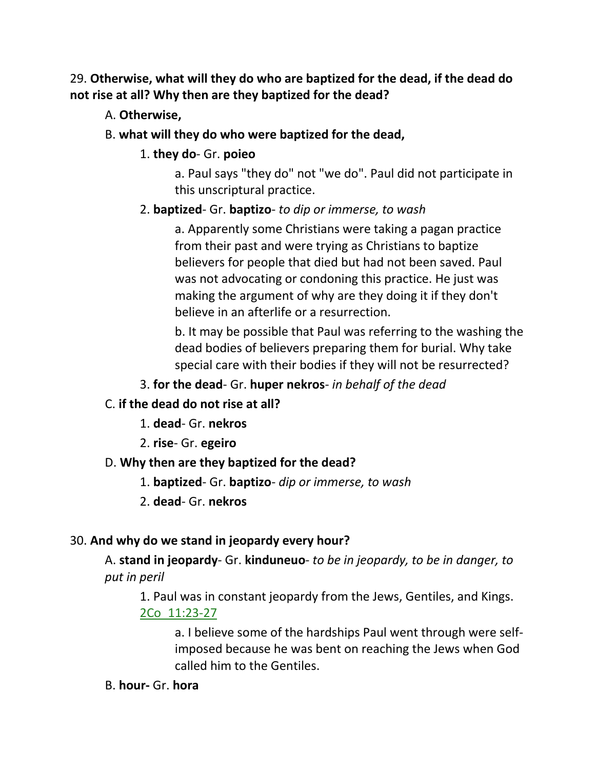29. **Otherwise, what will they do who are baptized for the dead, if the dead do not rise at all? Why then are they baptized for the dead?** 

- A. **Otherwise,**
- B. **what will they do who were baptized for the dead,**
	- 1. **they do** Gr. **poieo**

a. Paul says "they do" not "we do". Paul did not participate in this unscriptural practice.

2. **baptized**- Gr. **baptizo**- *to dip or immerse, to wash*

a. Apparently some Christians were taking a pagan practice from their past and were trying as Christians to baptize believers for people that died but had not been saved. Paul was not advocating or condoning this practice. He just was making the argument of why are they doing it if they don't believe in an afterlife or a resurrection.

b. It may be possible that Paul was referring to the washing the dead bodies of believers preparing them for burial. Why take special care with their bodies if they will not be resurrected?

- 3. **for the dead** Gr. **huper nekros** *in behalf of the dead*
- C. **if the dead do not rise at all?**
	- 1. **dead** Gr. **nekros**
	- 2. **rise** Gr. **egeiro**

## D. **Why then are they baptized for the dead?**

- 1. **baptized** Gr. **baptizo** *dip or immerse, to wash*
- 2. **dead** Gr. **nekros**

## 30. **And why do we stand in jeopardy every hour?**

A. **stand in jeopardy**- Gr. **kinduneuo**- *to be in jeopardy, to be in danger, to put in peril*

1. Paul was in constant jeopardy from the Jews, Gentiles, and Kings. 2Co\_11:23-27

a. I believe some of the hardships Paul went through were selfimposed because he was bent on reaching the Jews when God called him to the Gentiles.

### B. **hour-** Gr. **hora**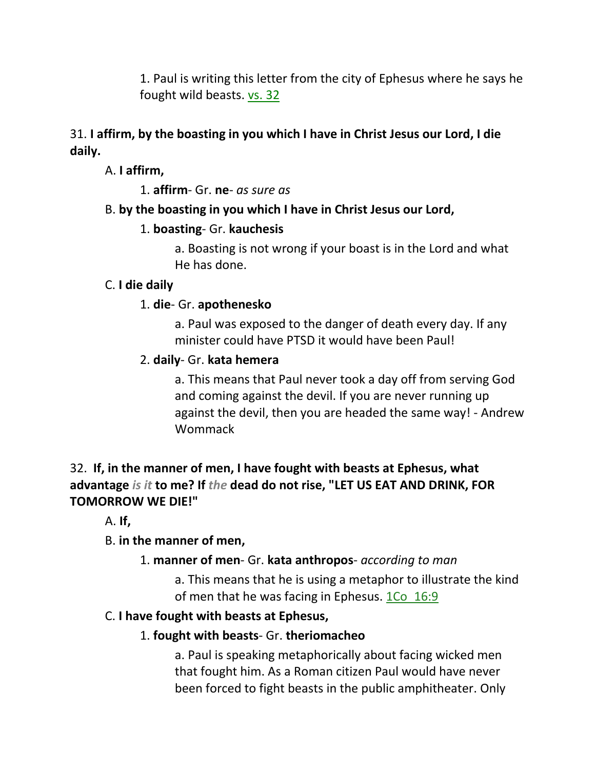1. Paul is writing this letter from the city of Ephesus where he says he fought wild beasts. vs. 32

# 31. **I affirm, by the boasting in you which I have in Christ Jesus our Lord, I die daily.**

A. **I affirm,**

1. **affirm**- Gr. **ne**- *as sure as*

## B. **by the boasting in you which I have in Christ Jesus our Lord,**

### 1. **boasting**- Gr. **kauchesis**

a. Boasting is not wrong if your boast is in the Lord and what He has done.

### C. **I die daily**

## 1. **die**- Gr. **apothenesko**

a. Paul was exposed to the danger of death every day. If any minister could have PTSD it would have been Paul!

## 2. **daily**- Gr. **kata hemera**

a. This means that Paul never took a day off from serving God and coming against the devil. If you are never running up against the devil, then you are headed the same way! - Andrew Wommack

## 32. **If, in the manner of men, I have fought with beasts at Ephesus, what advantage** *is it* **to me? If** *the* **dead do not rise, "LET US EAT AND DRINK, FOR TOMORROW WE DIE!"**

A. **If,**

## B. **in the manner of men,**

## 1. **manner of men**- Gr. **kata anthropos**- *according to man*

a. This means that he is using a metaphor to illustrate the kind of men that he was facing in Ephesus. 1Co\_16:9

# C. **I have fought with beasts at Ephesus,**

## 1. **fought with beasts**- Gr. **theriomacheo**

a. Paul is speaking metaphorically about facing wicked men that fought him. As a Roman citizen Paul would have never been forced to fight beasts in the public amphitheater. Only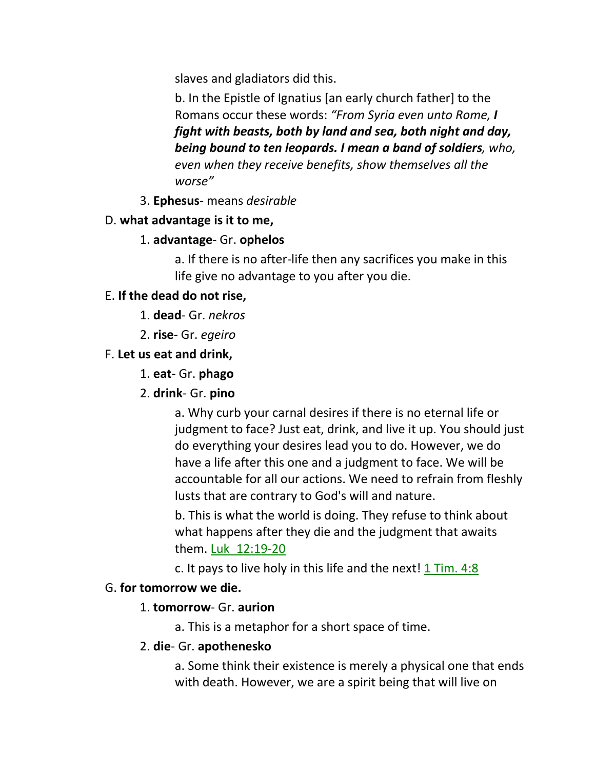slaves and gladiators did this.

b. In the Epistle of Ignatius [an early church father] to the Romans occur these words: *"From Syria even unto Rome, I fight with beasts, both by land and sea, both night and day, being bound to ten leopards. I mean a band of soldiers, who, even when they receive benefits, show themselves all the worse"* 

3. **Ephesus**- means *desirable*

### D. **what advantage is it to me,**

## 1. **advantage**- Gr. **ophelos**

a. If there is no after-life then any sacrifices you make in this life give no advantage to you after you die.

### E. **If the dead do not rise,**

- 1. **dead** Gr. *nekros*
- 2. **rise** Gr. *egeiro*

## F. **Let us eat and drink,**

1. **eat-** Gr. **phago**

## 2. **drink**- Gr. **pino**

a. Why curb your carnal desires if there is no eternal life or judgment to face? Just eat, drink, and live it up. You should just do everything your desires lead you to do. However, we do have a life after this one and a judgment to face. We will be accountable for all our actions. We need to refrain from fleshly lusts that are contrary to God's will and nature.

b. This is what the world is doing. They refuse to think about what happens after they die and the judgment that awaits them. Luk\_12:19-20

c. It pays to live holy in this life and the next!  $1$  Tim. 4:8

### G. **for tomorrow we die.**

### 1. **tomorrow**- Gr. **aurion**

a. This is a metaphor for a short space of time.

### 2. **die**- Gr. **apothenesko**

a. Some think their existence is merely a physical one that ends with death. However, we are a spirit being that will live on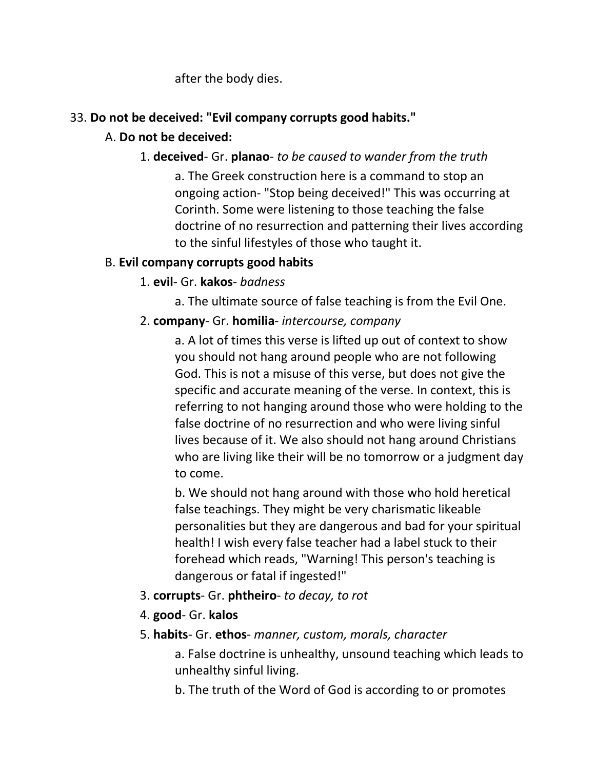after the body dies.

## 33. **Do not be deceived: "Evil company corrupts good habits."**

## A. **Do not be deceived:**

## 1. **deceived**- Gr. **planao**- *to be caused to wander from the truth*

a. The Greek construction here is a command to stop an ongoing action- "Stop being deceived!" This was occurring at Corinth. Some were listening to those teaching the false doctrine of no resurrection and patterning their lives according to the sinful lifestyles of those who taught it.

# B. **Evil company corrupts good habits**

## 1. **evil**- Gr. **kakos**- *badness*

a. The ultimate source of false teaching is from the Evil One.

# 2. **company**- Gr. **homilia**- *intercourse, company*

a. A lot of times this verse is lifted up out of context to show you should not hang around people who are not following God. This is not a misuse of this verse, but does not give the specific and accurate meaning of the verse. In context, this is referring to not hanging around those who were holding to the false doctrine of no resurrection and who were living sinful lives because of it. We also should not hang around Christians who are living like their will be no tomorrow or a judgment day to come.

b. We should not hang around with those who hold heretical false teachings. They might be very charismatic likeable personalities but they are dangerous and bad for your spiritual health! I wish every false teacher had a label stuck to their forehead which reads, "Warning! This person's teaching is dangerous or fatal if ingested!"

## 3. **corrupts**- Gr. **phtheiro**- *to decay, to rot*

## 4. **good**- Gr. **kalos**

## 5. **habits**- Gr. **ethos**- *manner, custom, morals, character*

a. False doctrine is unhealthy, unsound teaching which leads to unhealthy sinful living.

b. The truth of the Word of God is according to or promotes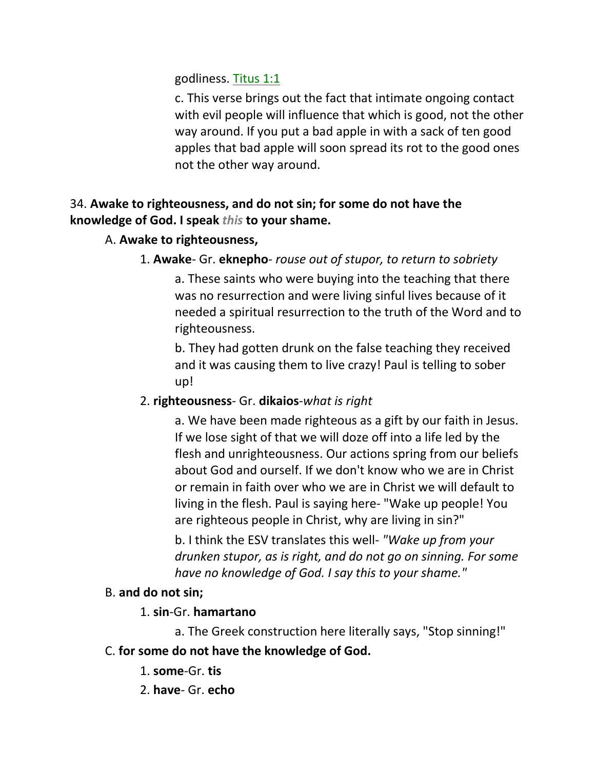godliness. Titus 1:1

c. This verse brings out the fact that intimate ongoing contact with evil people will influence that which is good, not the other way around. If you put a bad apple in with a sack of ten good apples that bad apple will soon spread its rot to the good ones not the other way around.

## 34. **Awake to righteousness, and do not sin; for some do not have the knowledge of God. I speak** *this* **to your shame.**

## A. **Awake to righteousness,**

### 1. **Awake**- Gr. **eknepho**- *rouse out of stupor, to return to sobriety*

a. These saints who were buying into the teaching that there was no resurrection and were living sinful lives because of it needed a spiritual resurrection to the truth of the Word and to righteousness.

b. They had gotten drunk on the false teaching they received and it was causing them to live crazy! Paul is telling to sober up!

### 2. **righteousness**- Gr. **dikaios**-*what is right*

a. We have been made righteous as a gift by our faith in Jesus. If we lose sight of that we will doze off into a life led by the flesh and unrighteousness. Our actions spring from our beliefs about God and ourself. If we don't know who we are in Christ or remain in faith over who we are in Christ we will default to living in the flesh. Paul is saying here- "Wake up people! You are righteous people in Christ, why are living in sin?"

b. I think the ESV translates this well- *"Wake up from your drunken stupor, as is right, and do not go on sinning. For some have no knowledge of God. I say this to your shame."*

### B. **and do not sin;**

## 1. **sin**-Gr. **hamartano**

a. The Greek construction here literally says, "Stop sinning!"

## C. **for some do not have the knowledge of God.**

- 1. **some**-Gr. **tis**
- 2. **have** Gr. **echo**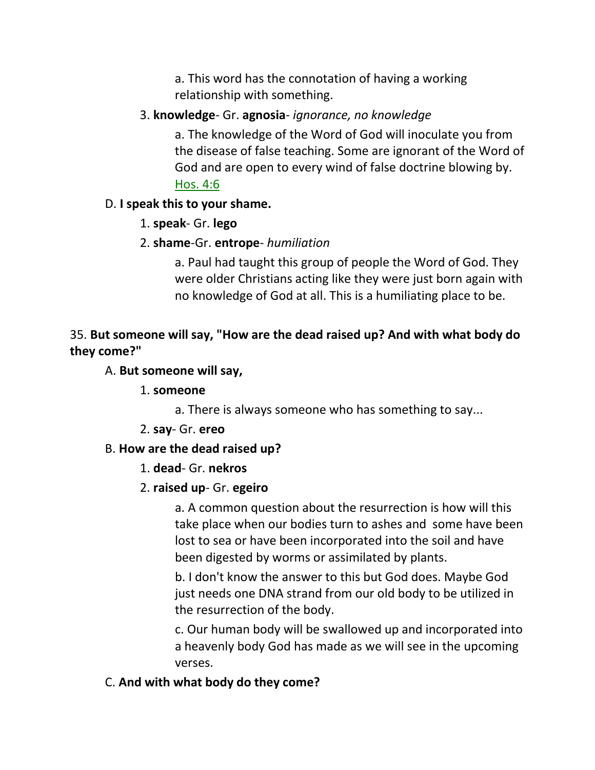a. This word has the connotation of having a working relationship with something.

## 3. **knowledge**- Gr. **agnosia**- *ignorance, no knowledge*

a. The knowledge of the Word of God will inoculate you from the disease of false teaching. Some are ignorant of the Word of God and are open to every wind of false doctrine blowing by. Hos. 4:6

### D. **I speak this to your shame.**

### 1. **speak**- Gr. **lego**

2. **shame**-Gr. **entrope**- *humiliation*

a. Paul had taught this group of people the Word of God. They were older Christians acting like they were just born again with no knowledge of God at all. This is a humiliating place to be.

## 35. **But someone will say, "How are the dead raised up? And with what body do they come?"**

### A. **But someone will say,**

1. **someone**

a. There is always someone who has something to say...

2. **say**- Gr. **ereo**

## B. **How are the dead raised up?**

1. **dead**- Gr. **nekros**

## 2. **raised up**- Gr. **egeiro**

a. A common question about the resurrection is how will this take place when our bodies turn to ashes and some have been lost to sea or have been incorporated into the soil and have been digested by worms or assimilated by plants.

b. I don't know the answer to this but God does. Maybe God just needs one DNA strand from our old body to be utilized in the resurrection of the body.

c. Our human body will be swallowed up and incorporated into a heavenly body God has made as we will see in the upcoming verses.

## C. **And with what body do they come?**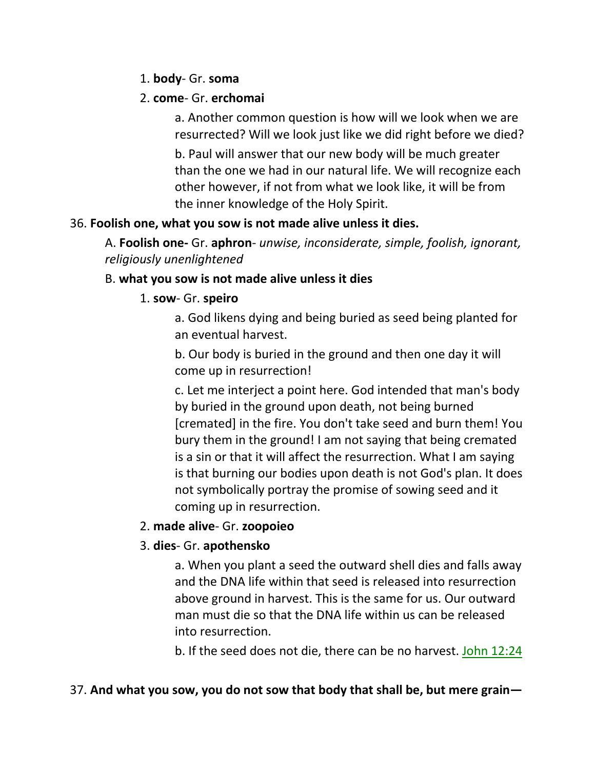### 1. **body**- Gr. **soma**

### 2. **come**- Gr. **erchomai**

a. Another common question is how will we look when we are resurrected? Will we look just like we did right before we died?

b. Paul will answer that our new body will be much greater than the one we had in our natural life. We will recognize each other however, if not from what we look like, it will be from the inner knowledge of the Holy Spirit.

### 36. **Foolish one, what you sow is not made alive unless it dies.**

A. **Foolish one-** Gr. **aphron**- *unwise, inconsiderate, simple, foolish, ignorant, religiously unenlightened*

### B. **what you sow is not made alive unless it dies**

### 1. **sow**- Gr. **speiro**

a. God likens dying and being buried as seed being planted for an eventual harvest.

b. Our body is buried in the ground and then one day it will come up in resurrection!

c. Let me interject a point here. God intended that man's body by buried in the ground upon death, not being burned [cremated] in the fire. You don't take seed and burn them! You bury them in the ground! I am not saying that being cremated is a sin or that it will affect the resurrection. What I am saying is that burning our bodies upon death is not God's plan. It does not symbolically portray the promise of sowing seed and it coming up in resurrection.

## 2. **made alive**- Gr. **zoopoieo**

## 3. **dies**- Gr. **apothensko**

a. When you plant a seed the outward shell dies and falls away and the DNA life within that seed is released into resurrection above ground in harvest. This is the same for us. Our outward man must die so that the DNA life within us can be released into resurrection.

b. If the seed does not die, there can be no harvest. John 12:24

## 37. **And what you sow, you do not sow that body that shall be, but mere grain—**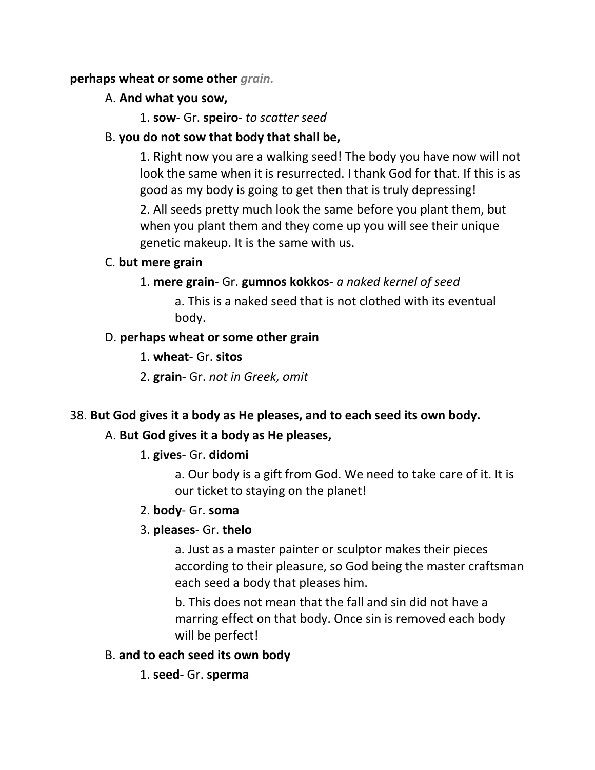#### **perhaps wheat or some other** *grain.*

- A. **And what you sow,**
	- 1. **sow** Gr. **speiro** *to scatter seed*

## B. **you do not sow that body that shall be,**

1. Right now you are a walking seed! The body you have now will not look the same when it is resurrected. I thank God for that. If this is as good as my body is going to get then that is truly depressing!

2. All seeds pretty much look the same before you plant them, but when you plant them and they come up you will see their unique genetic makeup. It is the same with us.

## C. **but mere grain**

## 1. **mere grain**- Gr. **gumnos kokkos-** *a naked kernel of seed*

a. This is a naked seed that is not clothed with its eventual body.

## D. **perhaps wheat or some other grain**

- 1. **wheat** Gr. **sitos**
- 2. **grain** Gr. *not in Greek, omit*

## 38. **But God gives it a body as He pleases, and to each seed its own body.**

# A. **But God gives it a body as He pleases,**

## 1. **gives**- Gr. **didomi**

a. Our body is a gift from God. We need to take care of it. It is our ticket to staying on the planet!

## 2. **body**- Gr. **soma**

## 3. **pleases**- Gr. **thelo**

a. Just as a master painter or sculptor makes their pieces according to their pleasure, so God being the master craftsman each seed a body that pleases him.

b. This does not mean that the fall and sin did not have a marring effect on that body. Once sin is removed each body will be perfect!

## B. **and to each seed its own body**

1. **seed**- Gr. **sperma**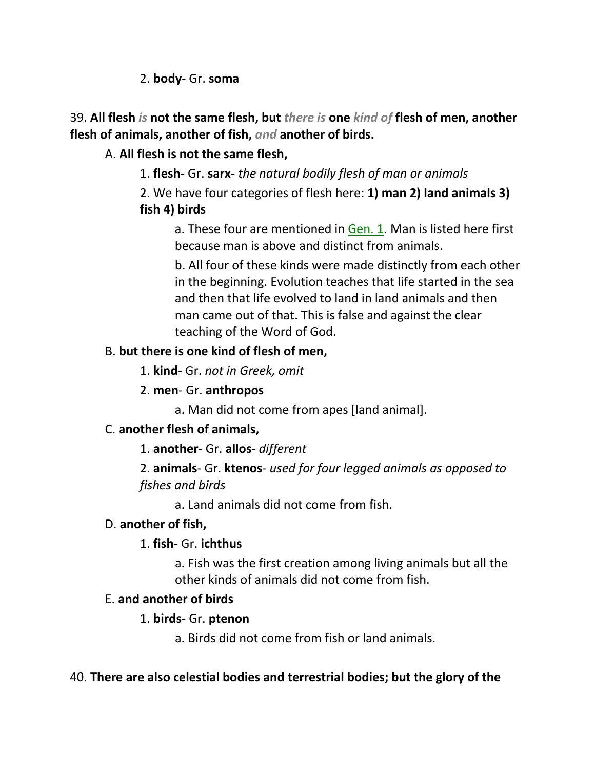### 2. **body**- Gr. **soma**

39. **All flesh** *is* **not the same flesh, but** *there is* **one** *kind of* **flesh of men, another flesh of animals, another of fish,** *and* **another of birds.** 

## A. **All flesh is not the same flesh,**

1. **flesh**- Gr. **sarx**- *the natural bodily flesh of man or animals*

2. We have four categories of flesh here: **1) man 2) land animals 3) fish 4) birds**

a. These four are mentioned in Gen. 1. Man is listed here first because man is above and distinct from animals.

b. All four of these kinds were made distinctly from each other in the beginning. Evolution teaches that life started in the sea and then that life evolved to land in land animals and then man came out of that. This is false and against the clear teaching of the Word of God.

### B. **but there is one kind of flesh of men,**

1. **kind**- Gr. *not in Greek, omit*

- 2. **men** Gr. **anthropos**
	- a. Man did not come from apes [land animal].

## C. **another flesh of animals,**

1. **another**- Gr. **allos**- *different*

2. **animals**- Gr. **ktenos**- *used for four legged animals as opposed to fishes and birds*

a. Land animals did not come from fish.

## D. **another of fish,**

## 1. **fish**- Gr. **ichthus**

a. Fish was the first creation among living animals but all the other kinds of animals did not come from fish.

## E. **and another of birds**

## 1. **birds**- Gr. **ptenon**

a. Birds did not come from fish or land animals.

## 40. **There are also celestial bodies and terrestrial bodies; but the glory of the**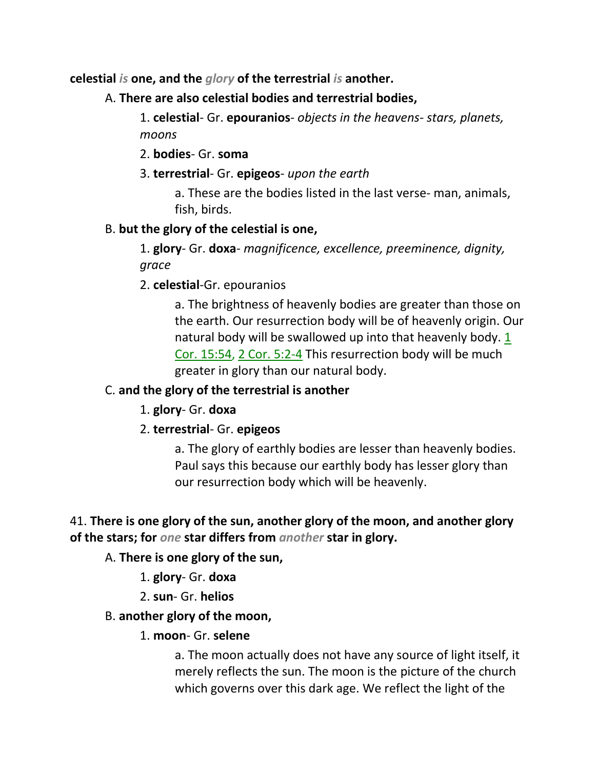### **celestial** *is* **one, and the** *glory* **of the terrestrial** *is* **another.**

## A. **There are also celestial bodies and terrestrial bodies,**

1. **celestial**- Gr. **epouranios**- *objects in the heavens- stars, planets, moons*

2. **bodies**- Gr. **soma**

### 3. **terrestrial**- Gr. **epigeos**- *upon the earth*

a. These are the bodies listed in the last verse- man, animals, fish, birds.

## B. **but the glory of the celestial is one,**

1. **glory**- Gr. **doxa**- *magnificence, excellence, preeminence, dignity, grace*

## 2. **celestial**-Gr. epouranios

a. The brightness of heavenly bodies are greater than those on the earth. Our resurrection body will be of heavenly origin. Our natural body will be swallowed up into that heavenly body. 1 Cor. 15:54, 2 Cor. 5:2-4 This resurrection body will be much greater in glory than our natural body.

### C. **and the glory of the terrestrial is another**

## 1. **glory**- Gr. **doxa**

## 2. **terrestrial**- Gr. **epigeos**

a. The glory of earthly bodies are lesser than heavenly bodies. Paul says this because our earthly body has lesser glory than our resurrection body which will be heavenly.

## 41. **There is one glory of the sun, another glory of the moon, and another glory of the stars; for** *one* **star differs from** *another* **star in glory.**

## A. **There is one glory of the sun,**

- 1. **glory** Gr. **doxa**
- 2. **sun** Gr. **helios**

## B. **another glory of the moon,**

### 1. **moon**- Gr. **selene**

a. The moon actually does not have any source of light itself, it merely reflects the sun. The moon is the picture of the church which governs over this dark age. We reflect the light of the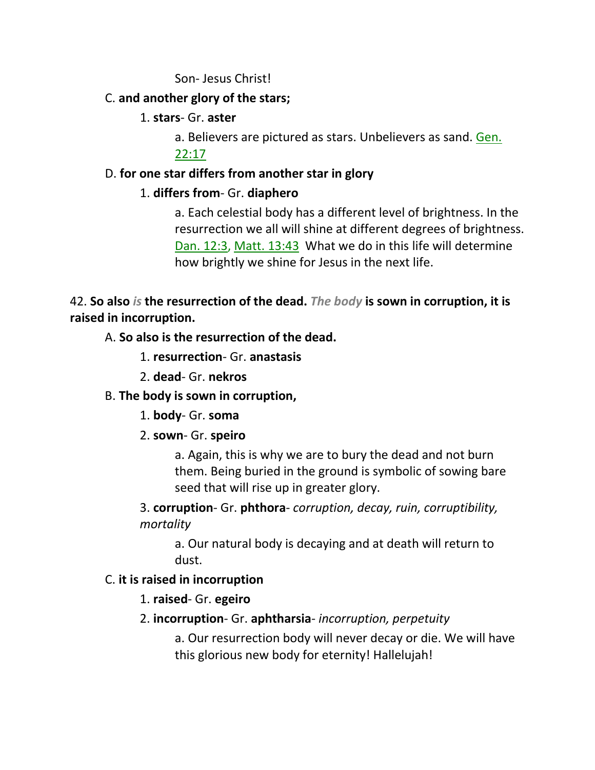Son- Jesus Christ!

## C. **and another glory of the stars;**

### 1. **stars**- Gr. **aster**

a. Believers are pictured as stars. Unbelievers as sand. Gen. 22:17

## D. **for one star differs from another star in glory**

## 1. **differs from**- Gr. **diaphero**

a. Each celestial body has a different level of brightness. In the resurrection we all will shine at different degrees of brightness. Dan. 12:3, Matt. 13:43 What we do in this life will determine how brightly we shine for Jesus in the next life.

42. **So also** *is* **the resurrection of the dead.** *The body* **is sown in corruption, it is raised in incorruption.** 

A. **So also is the resurrection of the dead.**

1. **resurrection**- Gr. **anastasis**

2. **dead**- Gr. **nekros**

## B. **The body is sown in corruption,**

### 1. **body**- Gr. **soma**

## 2. **sown**- Gr. **speiro**

a. Again, this is why we are to bury the dead and not burn them. Being buried in the ground is symbolic of sowing bare seed that will rise up in greater glory.

3. **corruption**- Gr. **phthora**- *corruption, decay, ruin, corruptibility, mortality*

a. Our natural body is decaying and at death will return to dust.

## C. **it is raised in incorruption**

## 1. **raised**- Gr. **egeiro**

2. **incorruption**- Gr. **aphtharsia**- *incorruption, perpetuity*

a. Our resurrection body will never decay or die. We will have this glorious new body for eternity! Hallelujah!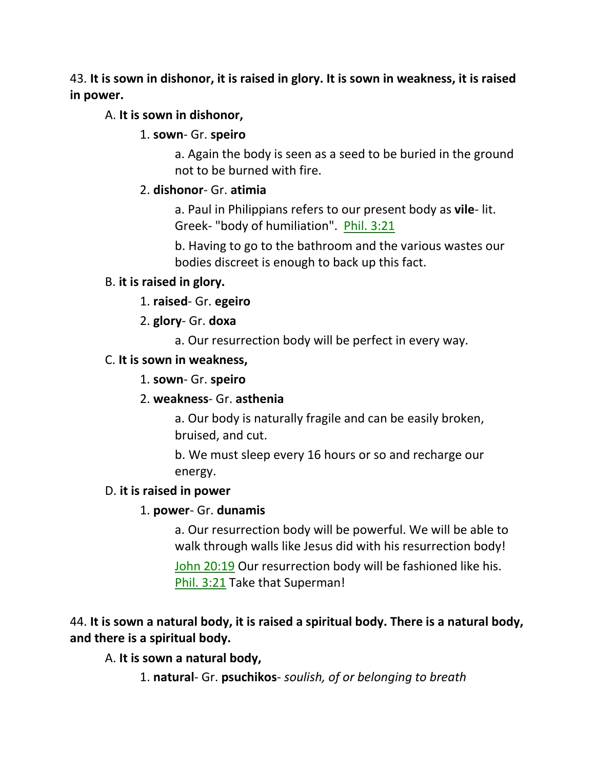43. **It is sown in dishonor, it is raised in glory. It is sown in weakness, it is raised in power.** 

### A. **It is sown in dishonor,**

1. **sown**- Gr. **speiro**

a. Again the body is seen as a seed to be buried in the ground not to be burned with fire.

## 2. **dishonor**- Gr. **atimia**

a. Paul in Philippians refers to our present body as **vile**- lit. Greek- "body of humiliation". Phil. 3:21

b. Having to go to the bathroom and the various wastes our bodies discreet is enough to back up this fact.

### B. **it is raised in glory.**

### 1. **raised**- Gr. **egeiro**

- 2. **glory** Gr. **doxa**
	- a. Our resurrection body will be perfect in every way.

### C. **It is sown in weakness,**

#### 1. **sown**- Gr. **speiro**

### 2. **weakness**- Gr. **asthenia**

a. Our body is naturally fragile and can be easily broken, bruised, and cut.

b. We must sleep every 16 hours or so and recharge our energy.

### D. **it is raised in power**

### 1. **power**- Gr. **dunamis**

a. Our resurrection body will be powerful. We will be able to walk through walls like Jesus did with his resurrection body!

John 20:19 Our resurrection body will be fashioned like his. Phil. 3:21 Take that Superman!

## 44. **It is sown a natural body, it is raised a spiritual body. There is a natural body, and there is a spiritual body.**

A. **It is sown a natural body,**

1. **natural**- Gr. **psuchikos**- *soulish, of or belonging to breath*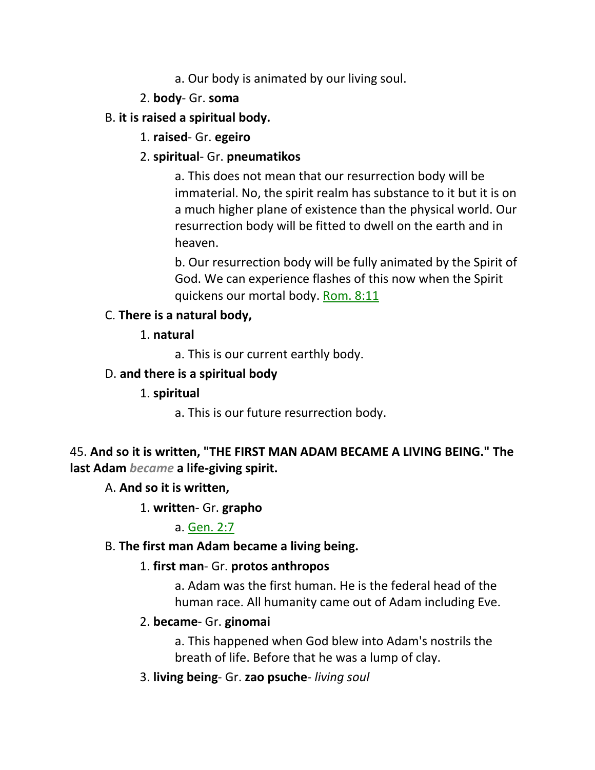a. Our body is animated by our living soul.

## 2. **body**- Gr. **soma**

## B. **it is raised a spiritual body.**

### 1. **raised**- Gr. **egeiro**

## 2. **spiritual**- Gr. **pneumatikos**

a. This does not mean that our resurrection body will be immaterial. No, the spirit realm has substance to it but it is on a much higher plane of existence than the physical world. Our resurrection body will be fitted to dwell on the earth and in heaven.

b. Our resurrection body will be fully animated by the Spirit of God. We can experience flashes of this now when the Spirit quickens our mortal body. Rom. 8:11

### C. **There is a natural body,**

### 1. **natural**

a. This is our current earthly body.

## D. **and there is a spiritual body**

## 1. **spiritual**

a. This is our future resurrection body.

45. **And so it is written, "THE FIRST MAN ADAM BECAME A LIVING BEING." The last Adam** *became* **a life-giving spirit.** 

## A. **And so it is written,**

1. **written**- Gr. **grapho**

## a. Gen. 2:7

## B. **The first man Adam became a living being.**

## 1. **first man**- Gr. **protos anthropos**

a. Adam was the first human. He is the federal head of the human race. All humanity came out of Adam including Eve.

## 2. **became**- Gr. **ginomai**

a. This happened when God blew into Adam's nostrils the breath of life. Before that he was a lump of clay.

## 3. **living being**- Gr. **zao psuche**- *living soul*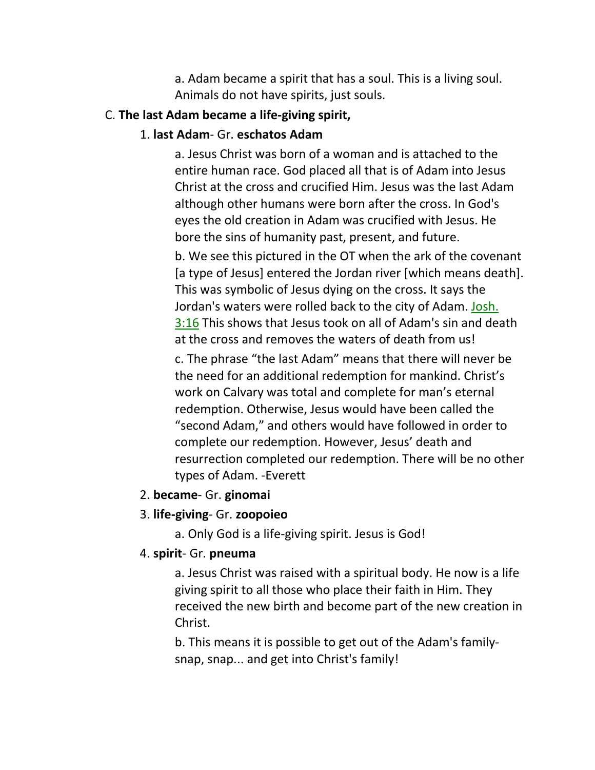a. Adam became a spirit that has a soul. This is a living soul. Animals do not have spirits, just souls.

#### C. **The last Adam became a life-giving spirit,**

#### 1. **last Adam**- Gr. **eschatos Adam**

a. Jesus Christ was born of a woman and is attached to the entire human race. God placed all that is of Adam into Jesus Christ at the cross and crucified Him. Jesus was the last Adam although other humans were born after the cross. In God's eyes the old creation in Adam was crucified with Jesus. He bore the sins of humanity past, present, and future.

b. We see this pictured in the OT when the ark of the covenant [a type of Jesus] entered the Jordan river [which means death]. This was symbolic of Jesus dying on the cross. It says the Jordan's waters were rolled back to the city of Adam. Josh. 3:16 This shows that Jesus took on all of Adam's sin and death at the cross and removes the waters of death from us!

c. The phrase "the last Adam" means that there will never be the need for an additional redemption for mankind. Christ's work on Calvary was total and complete for man's eternal redemption. Otherwise, Jesus would have been called the "second Adam," and others would have followed in order to complete our redemption. However, Jesus' death and resurrection completed our redemption. There will be no other types of Adam. -Everett

2. **became**- Gr. **ginomai**

#### 3. **life-giving**- Gr. **zoopoieo**

a. Only God is a life-giving spirit. Jesus is God!

#### 4. **spirit**- Gr. **pneuma**

a. Jesus Christ was raised with a spiritual body. He now is a life giving spirit to all those who place their faith in Him. They received the new birth and become part of the new creation in Christ.

b. This means it is possible to get out of the Adam's familysnap, snap... and get into Christ's family!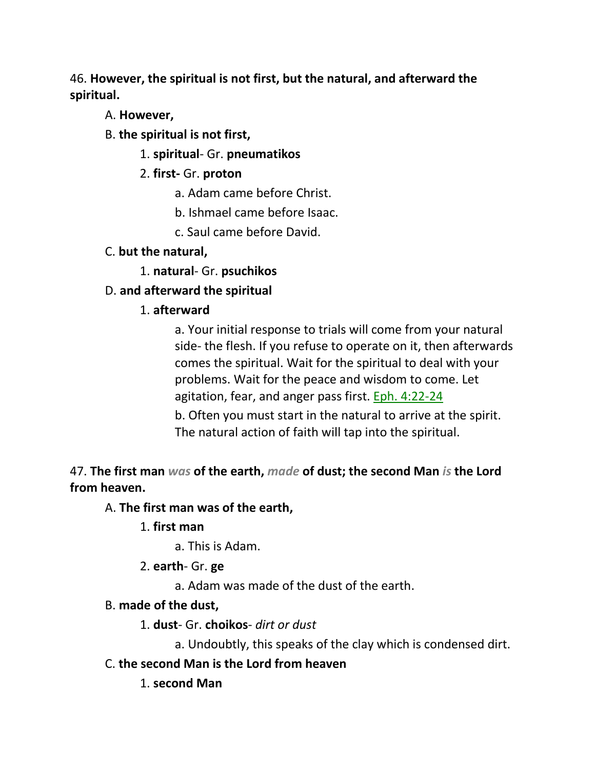46. **However, the spiritual is not first, but the natural, and afterward the spiritual.** 

- A. **However,**
- B. **the spiritual is not first,**
	- 1. **spiritual** Gr. **pneumatikos**
	- 2. **first-** Gr. **proton**
		- a. Adam came before Christ.
		- b. Ishmael came before Isaac.
		- c. Saul came before David.
- C. **but the natural,**
	- 1. **natural** Gr. **psuchikos**

# D. **and afterward the spiritual**

# 1. **afterward**

a. Your initial response to trials will come from your natural side- the flesh. If you refuse to operate on it, then afterwards comes the spiritual. Wait for the spiritual to deal with your problems. Wait for the peace and wisdom to come. Let agitation, fear, and anger pass first. Eph. 4:22-24

b. Often you must start in the natural to arrive at the spirit. The natural action of faith will tap into the spiritual.

47. **The first man** *was* **of the earth,** *made* **of dust; the second Man** *is* **the Lord from heaven.** 

# A. **The first man was of the earth,**

# 1. **first man**

a. This is Adam.

2. **earth**- Gr. **ge**

a. Adam was made of the dust of the earth.

# B. **made of the dust,**

1. **dust**- Gr. **choikos**- *dirt or dust*

a. Undoubtly, this speaks of the clay which is condensed dirt.

- C. **the second Man is the Lord from heaven**
	- 1. **second Man**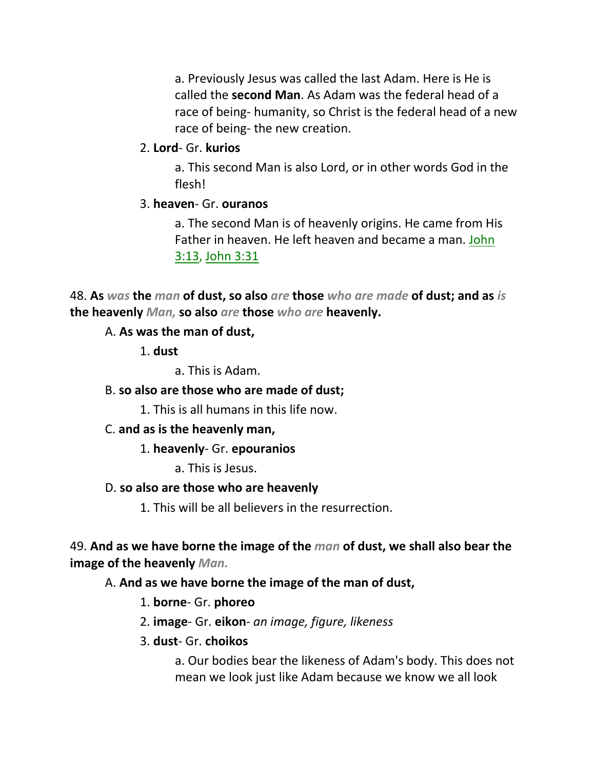a. Previously Jesus was called the last Adam. Here is He is called the **second Man**. As Adam was the federal head of a race of being- humanity, so Christ is the federal head of a new race of being- the new creation.

### 2. **Lord**- Gr. **kurios**

a. This second Man is also Lord, or in other words God in the flesh!

## 3. **heaven**- Gr. **ouranos**

a. The second Man is of heavenly origins. He came from His Father in heaven. He left heaven and became a man. John 3:13, John 3:31

48. **As** *was* **the** *man* **of dust, so also** *are* **those** *who are made* **of dust; and as** *is* **the heavenly** *Man,* **so also** *are* **those** *who are* **heavenly.** 

## A. **As was the man of dust,**

1. **dust**

a. This is Adam.

## B. **so also are those who are made of dust;**

1. This is all humans in this life now.

## C. **and as is the heavenly man,**

## 1. **heavenly**- Gr. **epouranios**

a. This is Jesus.

## D. **so also are those who are heavenly**

1. This will be all believers in the resurrection.

49. **And as we have borne the image of the** *man* **of dust, we shall also bear the image of the heavenly** *Man.*

## A. **And as we have borne the image of the man of dust,**

- 1. **borne** Gr. **phoreo**
- 2. **image** Gr. **eikon** *an image, figure, likeness*

## 3. **dust**- Gr. **choikos**

a. Our bodies bear the likeness of Adam's body. This does not mean we look just like Adam because we know we all look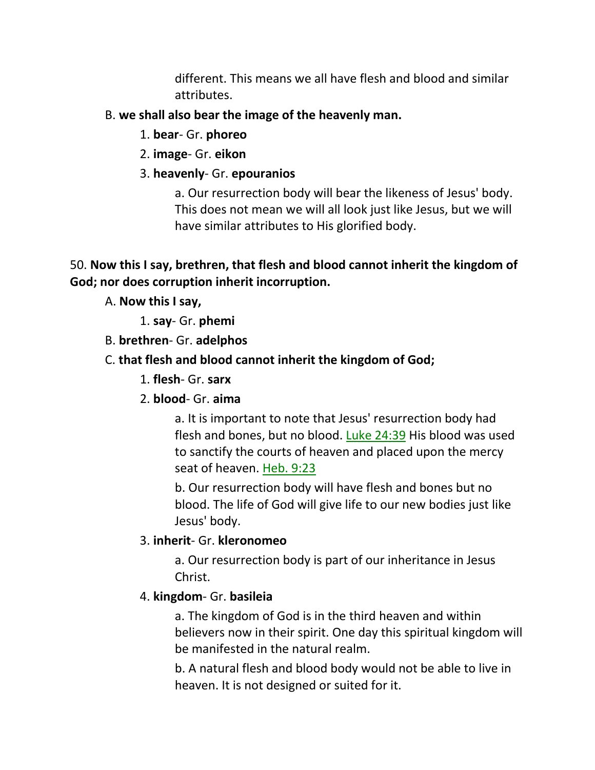different. This means we all have flesh and blood and similar attributes.

- B. **we shall also bear the image of the heavenly man.**
	- 1. **bear** Gr. **phoreo**
	- 2. **image** Gr. **eikon**

## 3. **heavenly**- Gr. **epouranios**

a. Our resurrection body will bear the likeness of Jesus' body. This does not mean we will all look just like Jesus, but we will have similar attributes to His glorified body.

## 50. **Now this I say, brethren, that flesh and blood cannot inherit the kingdom of God; nor does corruption inherit incorruption.**

## A. **Now this I say,**

- 1. **say** Gr. **phemi**
- B. **brethren** Gr. **adelphos**

## C. **that flesh and blood cannot inherit the kingdom of God;**

1. **flesh**- Gr. **sarx**

# 2. **blood**- Gr. **aima**

a. It is important to note that Jesus' resurrection body had flesh and bones, but no blood. Luke 24:39 His blood was used to sanctify the courts of heaven and placed upon the mercy seat of heaven. Heb. 9:23

b. Our resurrection body will have flesh and bones but no blood. The life of God will give life to our new bodies just like Jesus' body.

# 3. **inherit**- Gr. **kleronomeo**

a. Our resurrection body is part of our inheritance in Jesus Christ.

## 4. **kingdom**- Gr. **basileia**

a. The kingdom of God is in the third heaven and within believers now in their spirit. One day this spiritual kingdom will be manifested in the natural realm.

b. A natural flesh and blood body would not be able to live in heaven. It is not designed or suited for it.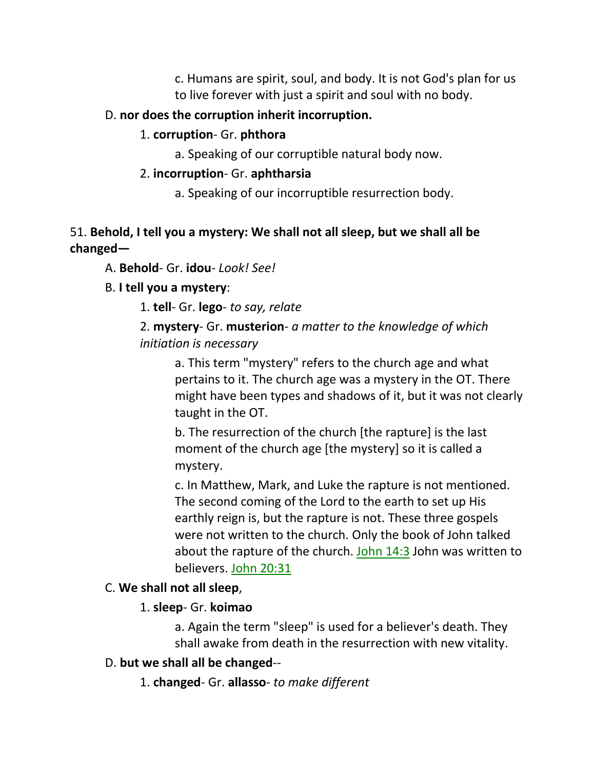c. Humans are spirit, soul, and body. It is not God's plan for us to live forever with just a spirit and soul with no body.

## D. **nor does the corruption inherit incorruption.**

### 1. **corruption**- Gr. **phthora**

a. Speaking of our corruptible natural body now.

## 2. **incorruption**- Gr. **aphtharsia**

a. Speaking of our incorruptible resurrection body.

## 51. **Behold, I tell you a mystery: We shall not all sleep, but we shall all be changed—**

A. **Behold**- Gr. **idou**- *Look! See!*

## B. **I tell you a mystery**:

1. **tell**- Gr. **lego**- *to say, relate*

2. **mystery**- Gr. **musterion**- *a matter to the knowledge of which initiation is necessary*

a. This term "mystery" refers to the church age and what pertains to it. The church age was a mystery in the OT. There might have been types and shadows of it, but it was not clearly taught in the OT.

b. The resurrection of the church [the rapture] is the last moment of the church age [the mystery] so it is called a mystery.

c. In Matthew, Mark, and Luke the rapture is not mentioned. The second coming of the Lord to the earth to set up His earthly reign is, but the rapture is not. These three gospels were not written to the church. Only the book of John talked about the rapture of the church. John 14:3 John was written to believers. John 20:31

## C. **We shall not all sleep**,

## 1. **sleep**- Gr. **koimao**

a. Again the term "sleep" is used for a believer's death. They shall awake from death in the resurrection with new vitality.

## D. **but we shall all be changed**--

1. **changed**- Gr. **allasso**- *to make different*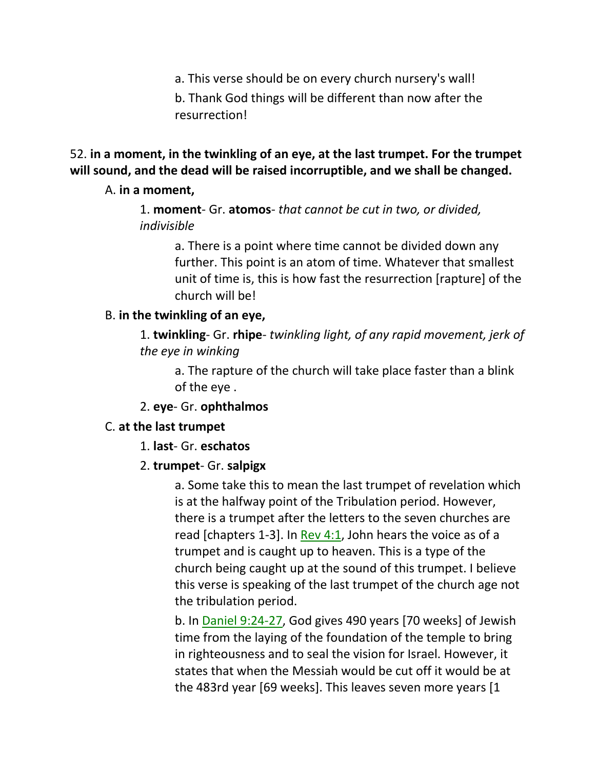a. This verse should be on every church nursery's wall!

b. Thank God things will be different than now after the resurrection!

## 52. **in a moment, in the twinkling of an eye, at the last trumpet. For the trumpet will sound, and the dead will be raised incorruptible, and we shall be changed.**

## A. **in a moment,**

1. **moment**- Gr. **atomos**- *that cannot be cut in two, or divided, indivisible*

> a. There is a point where time cannot be divided down any further. This point is an atom of time. Whatever that smallest unit of time is, this is how fast the resurrection [rapture] of the church will be!

## B. **in the twinkling of an eye,**

1. **twinkling**- Gr. **rhipe**- *twinkling light, of any rapid movement, jerk of the eye in winking*

a. The rapture of the church will take place faster than a blink of the eye .

## 2. **eye**- Gr. **ophthalmos**

## C. **at the last trumpet**

1. **last**- Gr. **eschatos**

## 2. **trumpet**- Gr. **salpigx**

a. Some take this to mean the last trumpet of revelation which is at the halfway point of the Tribulation period. However, there is a trumpet after the letters to the seven churches are read [chapters 1-3]. In Rev 4:1, John hears the voice as of a trumpet and is caught up to heaven. This is a type of the church being caught up at the sound of this trumpet. I believe this verse is speaking of the last trumpet of the church age not the tribulation period.

b. In Daniel 9:24-27, God gives 490 years [70 weeks] of Jewish time from the laying of the foundation of the temple to bring in righteousness and to seal the vision for Israel. However, it states that when the Messiah would be cut off it would be at the 483rd year [69 weeks]. This leaves seven more years [1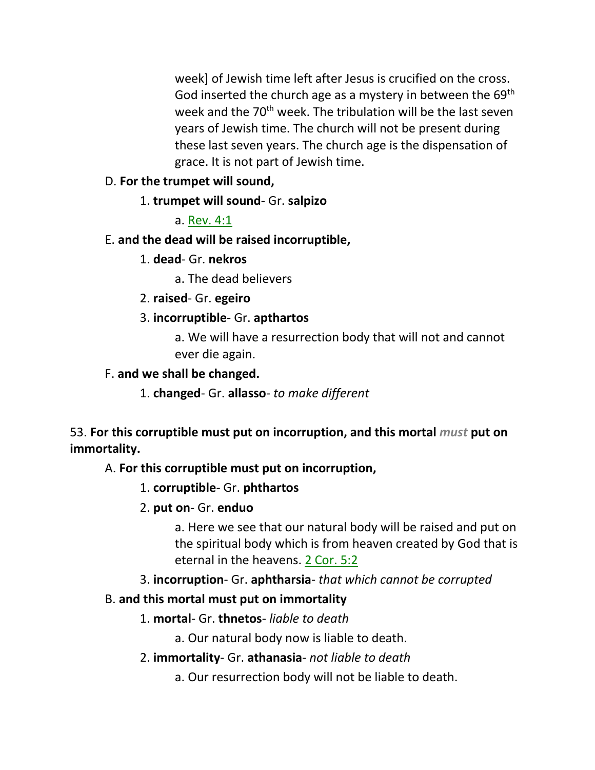week] of Jewish time left after Jesus is crucified on the cross. God inserted the church age as a mystery in between the 69<sup>th</sup> week and the 70<sup>th</sup> week. The tribulation will be the last seven years of Jewish time. The church will not be present during these last seven years. The church age is the dispensation of grace. It is not part of Jewish time.

#### D. **For the trumpet will sound,**

### 1. **trumpet will sound**- Gr. **salpizo**

### a. Rev. 4:1

### E. **and the dead will be raised incorruptible,**

- 1. **dead** Gr. **nekros**
	- a. The dead believers
- 2. **raised** Gr. **egeiro**

### 3. **incorruptible**- Gr. **apthartos**

a. We will have a resurrection body that will not and cannot ever die again.

### F. **and we shall be changed.**

1. **changed**- Gr. **allasso**- *to make different*

53. **For this corruptible must put on incorruption, and this mortal** *must* **put on immortality.** 

A. **For this corruptible must put on incorruption,**

### 1. **corruptible**- Gr. **phthartos**

### 2. **put on**- Gr. **enduo**

a. Here we see that our natural body will be raised and put on the spiritual body which is from heaven created by God that is eternal in the heavens. 2 Cor. 5:2

## 3. **incorruption**- Gr. **aphtharsia**- *that which cannot be corrupted*

## B. **and this mortal must put on immortality**

## 1. **mortal**- Gr. **thnetos**- *liable to death*

a. Our natural body now is liable to death.

## 2. **immortality**- Gr. **athanasia**- *not liable to death*

a. Our resurrection body will not be liable to death.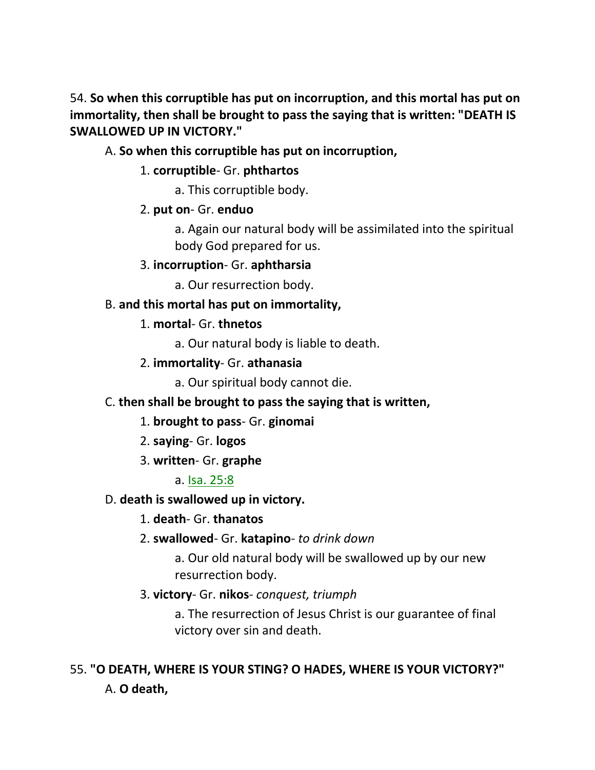54. **So when this corruptible has put on incorruption, and this mortal has put on immortality, then shall be brought to pass the saying that is written: "DEATH IS SWALLOWED UP IN VICTORY."** 

A. **So when this corruptible has put on incorruption,**

- 1. **corruptible** Gr. **phthartos**
	- a. This corruptible body.

## 2. **put on**- Gr. **enduo**

a. Again our natural body will be assimilated into the spiritual body God prepared for us.

- 3. **incorruption** Gr. **aphtharsia**
	- a. Our resurrection body.

# B. **and this mortal has put on immortality,**

## 1. **mortal**- Gr. **thnetos**

- a. Our natural body is liable to death.
- 2. **immortality** Gr. **athanasia**
	- a. Our spiritual body cannot die.

# C. **then shall be brought to pass the saying that is written,**

- 1. **brought to pass** Gr. **ginomai**
- 2. **saying** Gr. **logos**
- 3. **written** Gr. **graphe**

a. Isa. 25:8

# D. **death is swallowed up in victory.**

# 1. **death**- Gr. **thanatos**

2. **swallowed**- Gr. **katapino**- *to drink down*

a. Our old natural body will be swallowed up by our new resurrection body.

3. **victory**- Gr. **nikos**- *conquest, triumph*

a. The resurrection of Jesus Christ is our guarantee of final victory over sin and death.

# 55. **"O DEATH, WHERE IS YOUR STING? O HADES, WHERE IS YOUR VICTORY?"**  A. **O death,**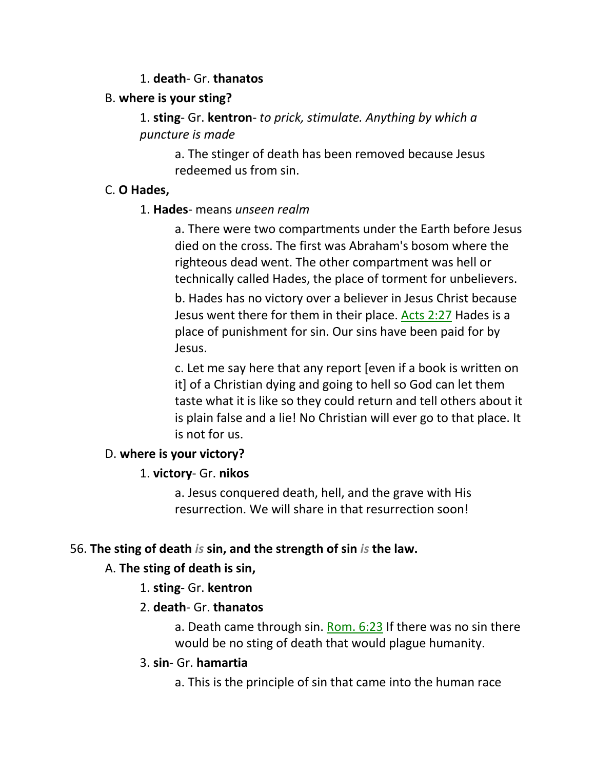#### 1. **death**- Gr. **thanatos**

### B. **where is your sting?**

1. **sting**- Gr. **kentron**- *to prick, stimulate. Anything by which a puncture is made*

> a. The stinger of death has been removed because Jesus redeemed us from sin.

#### C. **O Hades,**

#### 1. **Hades**- means *unseen realm*

a. There were two compartments under the Earth before Jesus died on the cross. The first was Abraham's bosom where the righteous dead went. The other compartment was hell or technically called Hades, the place of torment for unbelievers.

b. Hades has no victory over a believer in Jesus Christ because Jesus went there for them in their place. Acts 2:27 Hades is a place of punishment for sin. Our sins have been paid for by Jesus.

c. Let me say here that any report [even if a book is written on it] of a Christian dying and going to hell so God can let them taste what it is like so they could return and tell others about it is plain false and a lie! No Christian will ever go to that place. It is not for us.

### D. **where is your victory?**

### 1. **victory**- Gr. **nikos**

a. Jesus conquered death, hell, and the grave with His resurrection. We will share in that resurrection soon!

### 56. **The sting of death** *is* **sin, and the strength of sin** *is* **the law.**

#### A. **The sting of death is sin,**

#### 1. **sting**- Gr. **kentron**

### 2. **death**- Gr. **thanatos**

a. Death came through sin. Rom. 6:23 If there was no sin there would be no sting of death that would plague humanity.

#### 3. **sin**- Gr. **hamartia**

a. This is the principle of sin that came into the human race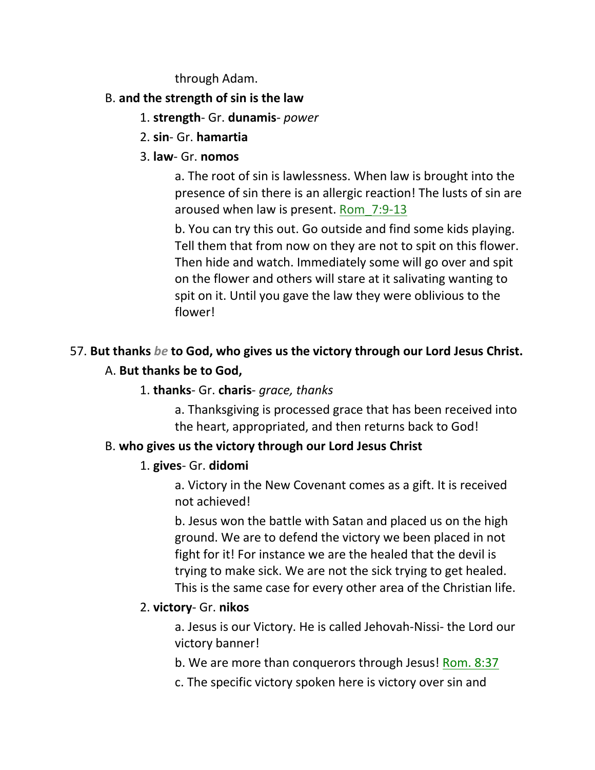through Adam.

### B. **and the strength of sin is the law**

- 1. **strength** Gr. **dunamis** *power*
- 2. **sin** Gr. **hamartia**

### 3. **law**- Gr. **nomos**

a. The root of sin is lawlessness. When law is brought into the presence of sin there is an allergic reaction! The lusts of sin are aroused when law is present. Rom\_7:9-13

b. You can try this out. Go outside and find some kids playing. Tell them that from now on they are not to spit on this flower. Then hide and watch. Immediately some will go over and spit on the flower and others will stare at it salivating wanting to spit on it. Until you gave the law they were oblivious to the flower!

# 57. **But thanks** *be* **to God, who gives us the victory through our Lord Jesus Christ.**

- A. **But thanks be to God,**
	- 1. **thanks** Gr. **charis** *grace, thanks*

a. Thanksgiving is processed grace that has been received into the heart, appropriated, and then returns back to God!

## B. **who gives us the victory through our Lord Jesus Christ**

### 1. **gives**- Gr. **didomi**

a. Victory in the New Covenant comes as a gift. It is received not achieved!

b. Jesus won the battle with Satan and placed us on the high ground. We are to defend the victory we been placed in not fight for it! For instance we are the healed that the devil is trying to make sick. We are not the sick trying to get healed. This is the same case for every other area of the Christian life.

## 2. **victory**- Gr. **nikos**

a. Jesus is our Victory. He is called Jehovah-Nissi- the Lord our victory banner!

b. We are more than conquerors through Jesus! Rom. 8:37

c. The specific victory spoken here is victory over sin and